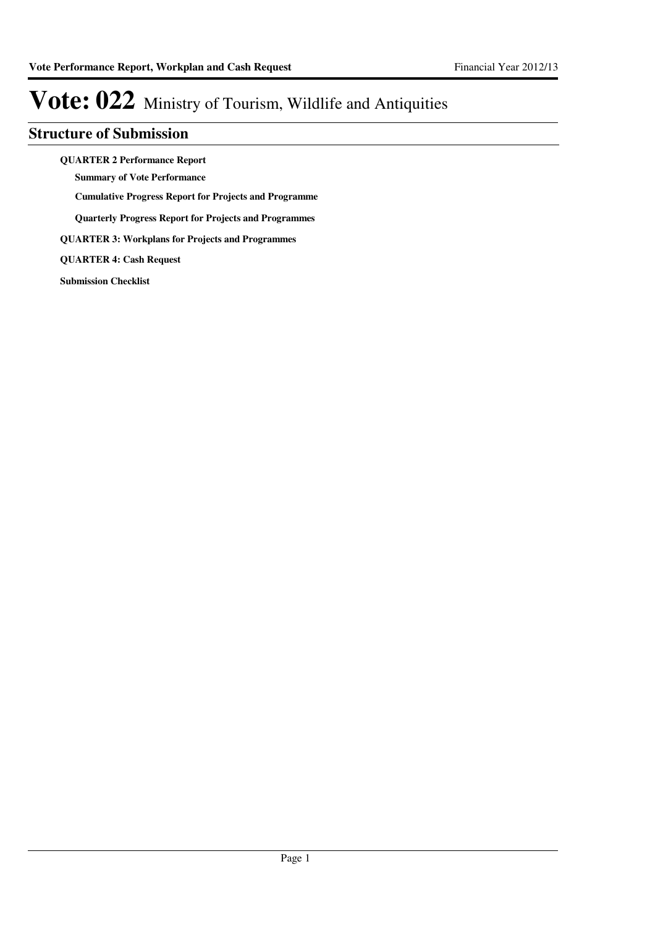#### **Structure of Submission**

**QUARTER 2 Performance Report**

**Summary of Vote Performance**

**Cumulative Progress Report for Projects and Programme**

**Quarterly Progress Report for Projects and Programmes**

**QUARTER 3: Workplans for Projects and Programmes**

**QUARTER 4: Cash Request**

**Submission Checklist**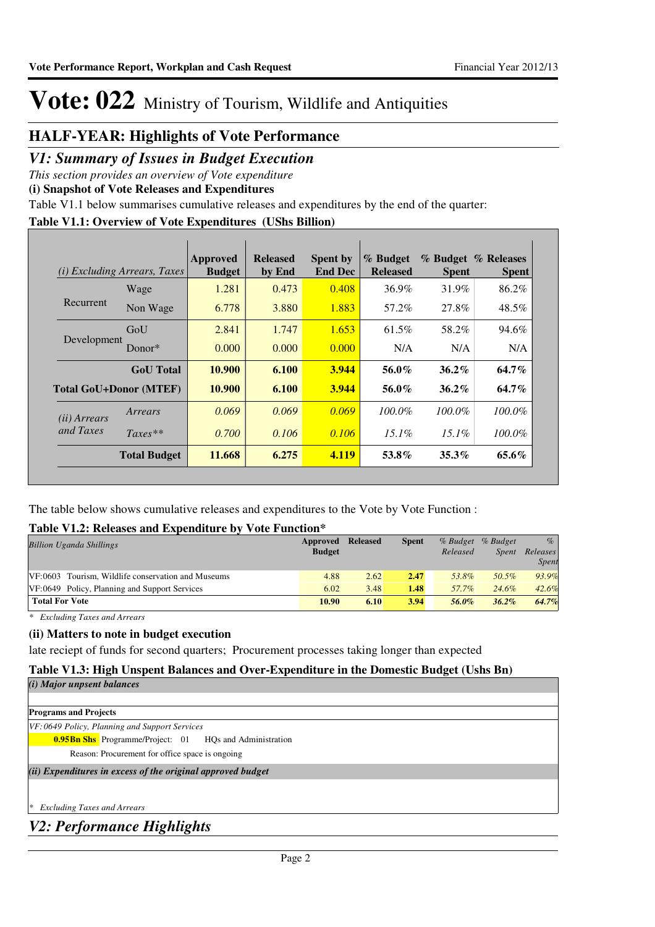#### **HALF-YEAR: Highlights of Vote Performance**

#### *V1: Summary of Issues in Budget Execution*

*This section provides an overview of Vote expenditure* 

**(i) Snapshot of Vote Releases and Expenditures**

Table V1.1 below summarises cumulative releases and expenditures by the end of the quarter:

#### **Table V1.1: Overview of Vote Expenditures (UShs Billion)**

| (i)                   | <i>Excluding Arrears, Taxes</i> | Approved<br><b>Budget</b> | <b>Released</b><br>by End | <b>Spent by</b><br><b>End Dec</b> | % Budget<br><b>Released</b> | <b>Spent</b> | % Budget % Releases<br><b>Spent</b> |
|-----------------------|---------------------------------|---------------------------|---------------------------|-----------------------------------|-----------------------------|--------------|-------------------------------------|
|                       | Wage                            | 1.281                     | 0.473                     | 0.408                             | $36.9\%$                    | 31.9%        | 86.2%                               |
| Recurrent             | Non Wage                        | 6.778                     | 3.880                     | 1.883                             | 57.2%                       | 27.8%        | 48.5%                               |
|                       | GoU                             | 2.841                     | 1.747                     | 1.653                             | 61.5%                       | 58.2%        | 94.6%                               |
| Development           | Donor $*$                       | 0.000                     | 0.000                     | 0.000                             | N/A                         | N/A          | N/A                                 |
|                       | <b>GoU</b> Total                | 10.900                    | 6.100                     | 3.944                             | 56.0%                       | $36.2\%$     | 64.7%                               |
|                       | <b>Total GoU+Donor (MTEF)</b>   | 10.900                    | 6.100                     | 3.944                             | 56.0%                       | $36.2\%$     | 64.7%                               |
| ( <i>ii</i> ) Arrears | Arrears                         | 0.069                     | 0.069                     | 0.069                             | $100.0\%$                   | $100.0\%$    | $100.0\%$                           |
| and Taxes             | $Taxes**$                       | 0.700                     | 0.106                     | 0.106                             | $15.1\%$                    | $15.1\%$     | 100.0%                              |
|                       | <b>Total Budget</b>             | 11.668                    | 6.275                     | 4.119                             | 53.8%                       | $35.3\%$     | 65.6%                               |

The table below shows cumulative releases and expenditures to the Vote by Vote Function :

#### **Table V1.2: Releases and Expenditure by Vote Function\***

| <b>Billion Uganda Shillings</b>                    | Approved<br><b>Budget</b> | <b>Released</b> | <b>Spent</b> | $%$ Budget<br>Released | % Budget<br><i>Spent</i> | $\%$<br>Releases<br><i>Spent</i> |
|----------------------------------------------------|---------------------------|-----------------|--------------|------------------------|--------------------------|----------------------------------|
| VF:0603 Tourism, Wildlife conservation and Museums | 4.88                      | 2.62            | 2.47         | 53.8%                  | 50.5%                    | 93.9%                            |
| VF:0649 Policy, Planning and Support Services      | 6.02                      | 3.48            | 1.48         | 57.7%                  | 24.6%                    | 42.6%                            |
| <b>Total For Vote</b>                              | 10.90                     | 6.10            | 3.94         | 56.0%                  | $36.2\%$                 | 64.7%                            |

*\* Excluding Taxes and Arrears*

#### **(ii) Matters to note in budget execution**

late reciept of funds for second quarters; Procurement processes taking longer than expected

#### **Table V1.3: High Unspent Balances and Over-Expenditure in the Domestic Budget (Ushs Bn)**

*V2: Performance Highlights (ii) Expenditures in excess of the original approved budget (i) Major unpsent balances \* Excluding Taxes and Arrears* **Programs and Projects 0.95Bn Shs** Programme/Project: 01 HQs and Administration *VF: 0649 Policy, Planning and Support Services* Reason: Procurement for office space is ongoing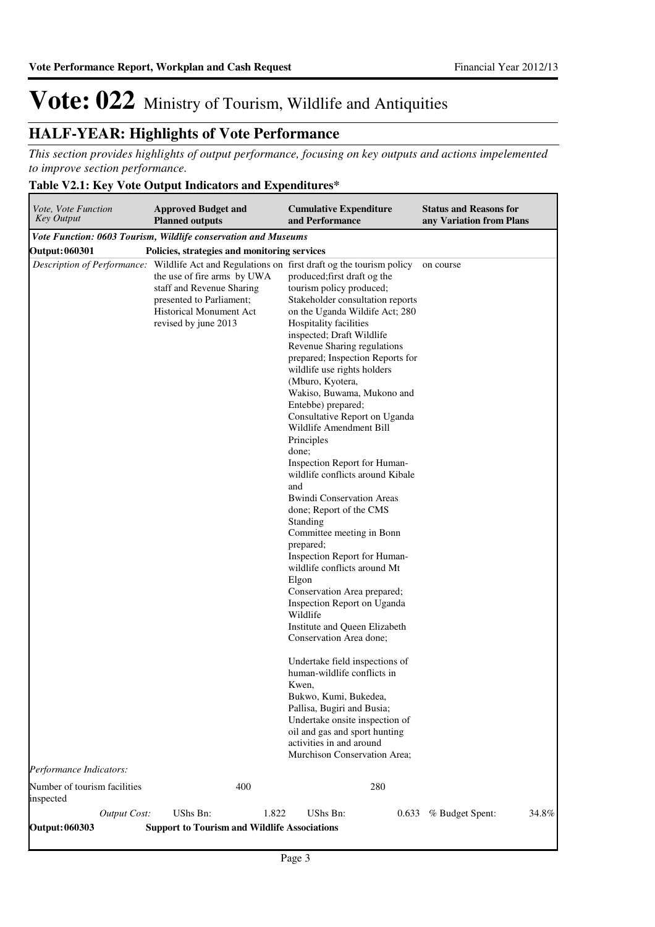#### **HALF-YEAR: Highlights of Vote Performance**

*This section provides highlights of output performance, focusing on key outputs and actions impelemented to improve section performance.*

#### **Table V2.1: Key Vote Output Indicators and Expenditures\***

| Vote, Vote Function<br><b>Key Output</b> |                     | <b>Approved Budget and</b><br><b>Planned outputs</b>                                                                                           |       | <b>Cumulative Expenditure</b><br>and Performance                                                                                                                                                                                                                                                                                                                                                                                                                                                                                                                                                                                                                                                                                                                                                                                                                                                                                                                                                                                                                                                                                                                                                                                          | <b>Status and Reasons for</b><br>any Variation from Plans |
|------------------------------------------|---------------------|------------------------------------------------------------------------------------------------------------------------------------------------|-------|-------------------------------------------------------------------------------------------------------------------------------------------------------------------------------------------------------------------------------------------------------------------------------------------------------------------------------------------------------------------------------------------------------------------------------------------------------------------------------------------------------------------------------------------------------------------------------------------------------------------------------------------------------------------------------------------------------------------------------------------------------------------------------------------------------------------------------------------------------------------------------------------------------------------------------------------------------------------------------------------------------------------------------------------------------------------------------------------------------------------------------------------------------------------------------------------------------------------------------------------|-----------------------------------------------------------|
|                                          |                     | Vote Function: 0603 Tourism, Wildlife conservation and Museums                                                                                 |       |                                                                                                                                                                                                                                                                                                                                                                                                                                                                                                                                                                                                                                                                                                                                                                                                                                                                                                                                                                                                                                                                                                                                                                                                                                           |                                                           |
| <b>Output: 060301</b>                    |                     | Policies, strategies and monitoring services                                                                                                   |       |                                                                                                                                                                                                                                                                                                                                                                                                                                                                                                                                                                                                                                                                                                                                                                                                                                                                                                                                                                                                                                                                                                                                                                                                                                           |                                                           |
| Performance Indicators:                  |                     | the use of fire arms by UWA<br>staff and Revenue Sharing<br>presented to Parliament;<br><b>Historical Monument Act</b><br>revised by june 2013 |       | <i>Description of Performance:</i> Wildlife Act and Regulations on first draft og the tourism policy<br>produced; first draft og the<br>tourism policy produced;<br>Stakeholder consultation reports<br>on the Uganda Wildife Act; 280<br>Hospitality facilities<br>inspected; Draft Wildlife<br>Revenue Sharing regulations<br>prepared; Inspection Reports for<br>wildlife use rights holders<br>(Mburo, Kyotera,<br>Wakiso, Buwama, Mukono and<br>Entebbe) prepared;<br>Consultative Report on Uganda<br>Wildlife Amendment Bill<br>Principles<br>done;<br>Inspection Report for Human-<br>wildlife conflicts around Kibale<br>and<br><b>Bwindi Conservation Areas</b><br>done; Report of the CMS<br>Standing<br>Committee meeting in Bonn<br>prepared;<br>Inspection Report for Human-<br>wildlife conflicts around Mt<br>Elgon<br>Conservation Area prepared;<br>Inspection Report on Uganda<br>Wildlife<br>Institute and Queen Elizabeth<br>Conservation Area done;<br>Undertake field inspections of<br>human-wildlife conflicts in<br>Kwen,<br>Bukwo, Kumi, Bukedea,<br>Pallisa, Bugiri and Busia;<br>Undertake onsite inspection of<br>oil and gas and sport hunting<br>activities in and around<br>Murchison Conservation Area; | on course                                                 |
| Number of tourism facilities             |                     |                                                                                                                                                | 400   | 280                                                                                                                                                                                                                                                                                                                                                                                                                                                                                                                                                                                                                                                                                                                                                                                                                                                                                                                                                                                                                                                                                                                                                                                                                                       |                                                           |
| inspected                                | <b>Output Cost:</b> | UShs Bn:                                                                                                                                       | 1.822 | UShs Bn:<br>0.633                                                                                                                                                                                                                                                                                                                                                                                                                                                                                                                                                                                                                                                                                                                                                                                                                                                                                                                                                                                                                                                                                                                                                                                                                         | % Budget Spent:<br>34.8%                                  |
| <b>Output: 060303</b>                    |                     | <b>Support to Tourism and Wildlife Associations</b>                                                                                            |       |                                                                                                                                                                                                                                                                                                                                                                                                                                                                                                                                                                                                                                                                                                                                                                                                                                                                                                                                                                                                                                                                                                                                                                                                                                           |                                                           |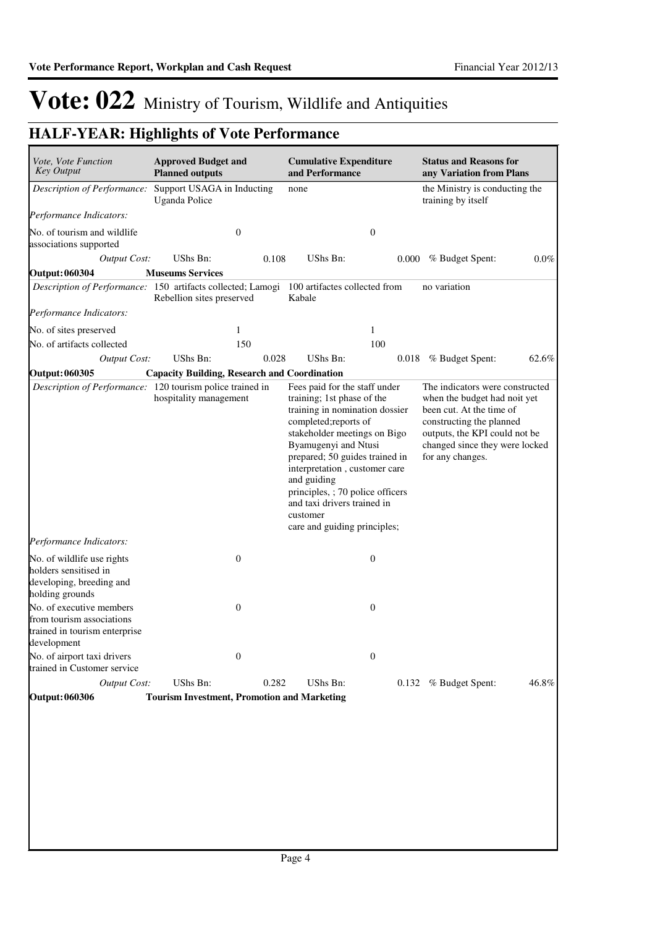### **HALF-YEAR: Highlights of Vote Performance**

| Vote, Vote Function<br><b>Key Output</b>                                                              | <b>Approved Budget and</b><br><b>Planned outputs</b> |       | <b>Cumulative Expenditure</b><br>and Performance                                                                                                                                                                                                                                                                                                                                |                  | <b>Status and Reasons for</b><br>any Variation from Plans                                                                                                                                                      |         |  |
|-------------------------------------------------------------------------------------------------------|------------------------------------------------------|-------|---------------------------------------------------------------------------------------------------------------------------------------------------------------------------------------------------------------------------------------------------------------------------------------------------------------------------------------------------------------------------------|------------------|----------------------------------------------------------------------------------------------------------------------------------------------------------------------------------------------------------------|---------|--|
| Description of Performance:                                                                           | Support USAGA in Inducting<br><b>Uganda Police</b>   |       | none                                                                                                                                                                                                                                                                                                                                                                            |                  | the Ministry is conducting the<br>training by itself                                                                                                                                                           |         |  |
| Performance Indicators:                                                                               |                                                      |       |                                                                                                                                                                                                                                                                                                                                                                                 |                  |                                                                                                                                                                                                                |         |  |
| No. of tourism and wildlife<br>associations supported                                                 | $\boldsymbol{0}$                                     |       |                                                                                                                                                                                                                                                                                                                                                                                 | $\boldsymbol{0}$ |                                                                                                                                                                                                                |         |  |
| <b>Output Cost:</b>                                                                                   | UShs Bn:                                             | 0.108 | <b>UShs Bn:</b>                                                                                                                                                                                                                                                                                                                                                                 | 0.000            | % Budget Spent:                                                                                                                                                                                                | $0.0\%$ |  |
| <b>Output: 060304</b>                                                                                 | <b>Museums Services</b>                              |       |                                                                                                                                                                                                                                                                                                                                                                                 |                  |                                                                                                                                                                                                                |         |  |
| Description of Performance: 150 artifacts collected; Lamogi 100 artifactes collected from             | Rebellion sites preserved                            |       | Kabale                                                                                                                                                                                                                                                                                                                                                                          |                  | no variation                                                                                                                                                                                                   |         |  |
| Performance Indicators:                                                                               |                                                      |       |                                                                                                                                                                                                                                                                                                                                                                                 |                  |                                                                                                                                                                                                                |         |  |
| No. of sites preserved                                                                                | 1                                                    |       |                                                                                                                                                                                                                                                                                                                                                                                 | 1                |                                                                                                                                                                                                                |         |  |
| No. of artifacts collected                                                                            | 150                                                  |       |                                                                                                                                                                                                                                                                                                                                                                                 | 100              |                                                                                                                                                                                                                |         |  |
| <b>Output Cost:</b>                                                                                   | UShs Bn:                                             | 0.028 | UShs Bn:                                                                                                                                                                                                                                                                                                                                                                        |                  | 0.018 % Budget Spent:                                                                                                                                                                                          | 62.6%   |  |
| <b>Output: 060305</b>                                                                                 | <b>Capacity Building, Research and Coordination</b>  |       |                                                                                                                                                                                                                                                                                                                                                                                 |                  |                                                                                                                                                                                                                |         |  |
| Description of Performance: 120 tourism police trained in<br>Performance Indicators:                  | hospitality management                               |       | Fees paid for the staff under<br>training; 1st phase of the<br>training in nomination dossier<br>completed; reports of<br>stakeholder meetings on Bigo<br>Byamugenyi and Ntusi<br>prepared; 50 guides trained in<br>interpretation, customer care<br>and guiding<br>principles, ; 70 police officers<br>and taxi drivers trained in<br>customer<br>care and guiding principles; |                  | The indicators were constructed<br>when the budget had noit yet<br>been cut. At the time of<br>constructing the planned<br>outputs, the KPI could not be<br>changed since they were locked<br>for any changes. |         |  |
| No. of wildlife use rights<br>holders sensitised in<br>developing, breeding and<br>holding grounds    | $\boldsymbol{0}$                                     |       |                                                                                                                                                                                                                                                                                                                                                                                 | $\boldsymbol{0}$ |                                                                                                                                                                                                                |         |  |
| No. of executive members<br>from tourism associations<br>trained in tourism enterprise<br>development | $\mathbf{0}$                                         |       |                                                                                                                                                                                                                                                                                                                                                                                 | $\boldsymbol{0}$ |                                                                                                                                                                                                                |         |  |
| No. of airport taxi drivers<br>trained in Customer service                                            | $\boldsymbol{0}$                                     |       |                                                                                                                                                                                                                                                                                                                                                                                 | $\boldsymbol{0}$ |                                                                                                                                                                                                                |         |  |
| <b>Output Cost:</b>                                                                                   | UShs Bn:                                             | 0.282 | UShs Bn:                                                                                                                                                                                                                                                                                                                                                                        |                  | 0.132 % Budget Spent:                                                                                                                                                                                          | 46.8%   |  |
| <b>Output: 060306</b>                                                                                 | <b>Tourism Investment, Promotion and Marketing</b>   |       |                                                                                                                                                                                                                                                                                                                                                                                 |                  |                                                                                                                                                                                                                |         |  |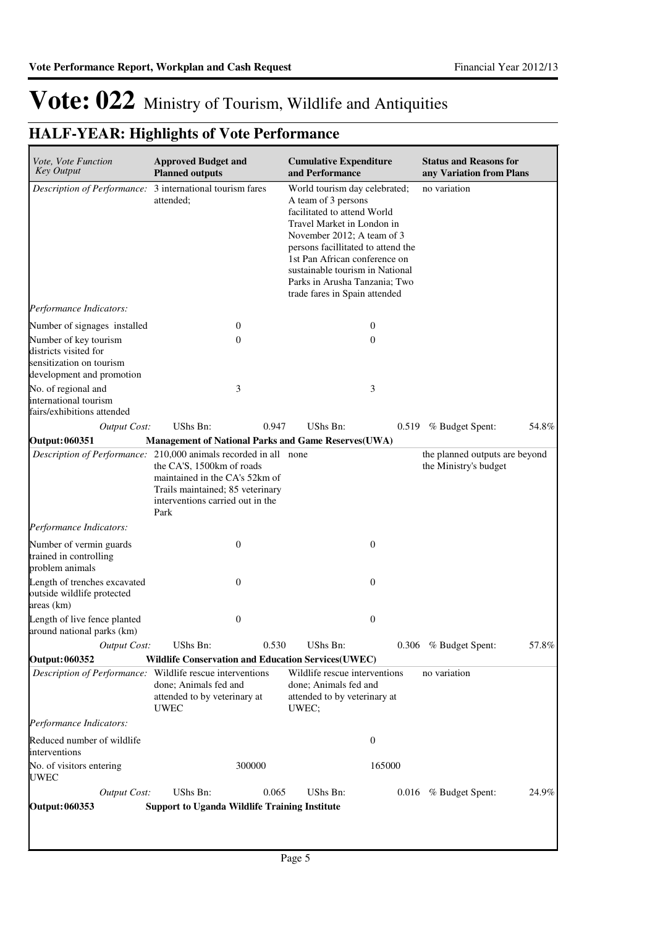### **HALF-YEAR: Highlights of Vote Performance**

| Vote, Vote Function<br><b>Key Output</b>                                                                | <b>Approved Budget and</b><br><b>Planned outputs</b>                                                                                        |       | <b>Cumulative Expenditure</b><br>and Performance                                                                                                                                                                                                                                                                            | <b>Status and Reasons for</b><br>any Variation from Plans |       |  |
|---------------------------------------------------------------------------------------------------------|---------------------------------------------------------------------------------------------------------------------------------------------|-------|-----------------------------------------------------------------------------------------------------------------------------------------------------------------------------------------------------------------------------------------------------------------------------------------------------------------------------|-----------------------------------------------------------|-------|--|
| Description of Performance: 3 international tourism fares                                               | attended;                                                                                                                                   |       | World tourism day celebrated;<br>A team of 3 persons<br>facilitated to attend World<br>Travel Market in London in<br>November 2012; A team of 3<br>persons facillitated to attend the<br>1st Pan African conference on<br>sustainable tourism in National<br>Parks in Arusha Tanzania; Two<br>trade fares in Spain attended | no variation                                              |       |  |
| Performance Indicators:                                                                                 |                                                                                                                                             |       |                                                                                                                                                                                                                                                                                                                             |                                                           |       |  |
| Number of signages installed                                                                            | 0                                                                                                                                           |       | $\mathbf{0}$                                                                                                                                                                                                                                                                                                                |                                                           |       |  |
| Number of key tourism<br>districts visited for<br>sensitization on tourism<br>development and promotion | $\theta$                                                                                                                                    |       | $\mathbf{0}$                                                                                                                                                                                                                                                                                                                |                                                           |       |  |
| No. of regional and<br>international tourism<br>fairs/exhibitions attended                              | 3                                                                                                                                           |       | 3                                                                                                                                                                                                                                                                                                                           |                                                           |       |  |
| <b>Output Cost:</b>                                                                                     | UShs Bn:                                                                                                                                    | 0.947 | UShs Bn:                                                                                                                                                                                                                                                                                                                    | 0.519 % Budget Spent:                                     | 54.8% |  |
| <b>Output: 060351</b><br>Description of Performance: 210,000 animals recorded in all none               | <b>Management of National Parks and Game Reserves(UWA)</b>                                                                                  |       |                                                                                                                                                                                                                                                                                                                             | the planned outputs are beyond                            |       |  |
|                                                                                                         | the CA'S, 1500km of roads<br>maintained in the CA's 52km of<br>Trails maintained; 85 veterinary<br>interventions carried out in the<br>Park |       |                                                                                                                                                                                                                                                                                                                             | the Ministry's budget                                     |       |  |
| Performance Indicators:                                                                                 |                                                                                                                                             |       |                                                                                                                                                                                                                                                                                                                             |                                                           |       |  |
| Number of vermin guards<br>trained in controlling<br>problem animals                                    | $\theta$                                                                                                                                    |       | $\boldsymbol{0}$                                                                                                                                                                                                                                                                                                            |                                                           |       |  |
| Length of trenches excavated<br>outside wildlife protected<br>areas (km)                                | $\overline{0}$                                                                                                                              |       | $\boldsymbol{0}$                                                                                                                                                                                                                                                                                                            |                                                           |       |  |
| Length of live fence planted<br>around national parks (km)                                              | 0                                                                                                                                           |       | $\boldsymbol{0}$                                                                                                                                                                                                                                                                                                            |                                                           |       |  |
| <b>Output Cost:</b>                                                                                     | UShs Bn:                                                                                                                                    | 0.530 | UShs Bn:                                                                                                                                                                                                                                                                                                                    | 0.306 % Budget Spent:                                     | 57.8% |  |
| Output: 060352                                                                                          | <b>Wildlife Conservation and Education Services (UWEC)</b>                                                                                  |       |                                                                                                                                                                                                                                                                                                                             |                                                           |       |  |
| <i>Description of Performance:</i> Wildlife rescue interventions                                        | done; Animals fed and<br>attended to by veterinary at<br><b>UWEC</b>                                                                        | UWEC; | Wildlife rescue interventions<br>done; Animals fed and<br>attended to by veterinary at                                                                                                                                                                                                                                      | no variation                                              |       |  |
| Performance Indicators:                                                                                 |                                                                                                                                             |       |                                                                                                                                                                                                                                                                                                                             |                                                           |       |  |
| Reduced number of wildlife<br>interventions                                                             |                                                                                                                                             |       | $\boldsymbol{0}$                                                                                                                                                                                                                                                                                                            |                                                           |       |  |
| No. of visitors entering<br>UWEC                                                                        | 300000                                                                                                                                      |       | 165000                                                                                                                                                                                                                                                                                                                      |                                                           |       |  |
| <b>Output Cost:</b>                                                                                     | UShs Bn:                                                                                                                                    | 0.065 | UShs Bn:                                                                                                                                                                                                                                                                                                                    | 0.016 % Budget Spent:                                     | 24.9% |  |
| <b>Output: 060353</b>                                                                                   | <b>Support to Uganda Wildlife Training Institute</b>                                                                                        |       |                                                                                                                                                                                                                                                                                                                             |                                                           |       |  |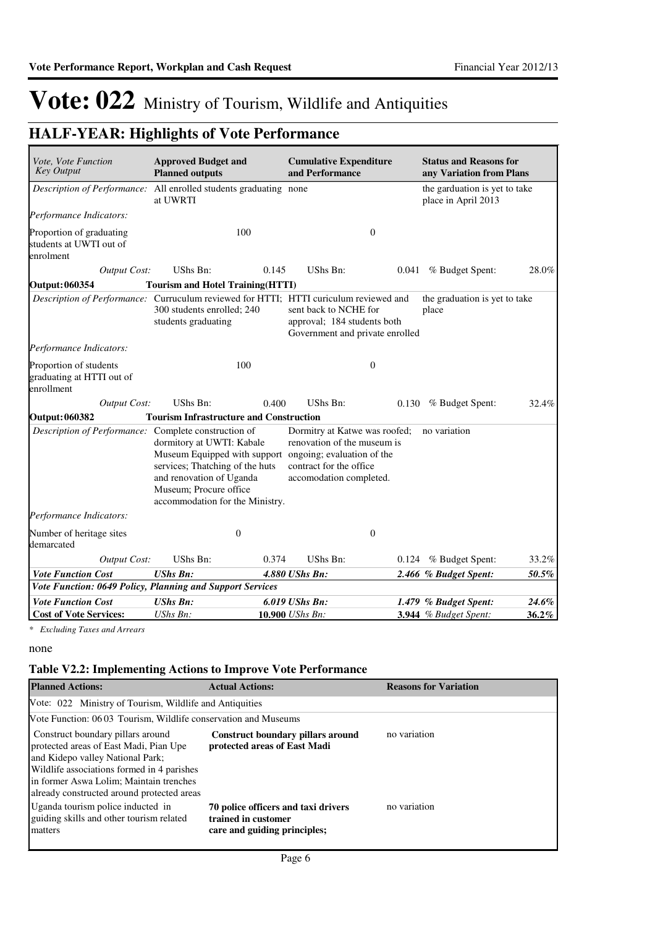### **HALF-YEAR: Highlights of Vote Performance**

| Vote, Vote Function<br><b>Key Output</b>                          | <b>Approved Budget and</b><br><b>Planned outputs</b>                                                                                                                                                             | <b>Cumulative Expenditure</b><br>and Performance                                                                                                                                 | <b>Status and Reasons for</b><br>any Variation from Plans |
|-------------------------------------------------------------------|------------------------------------------------------------------------------------------------------------------------------------------------------------------------------------------------------------------|----------------------------------------------------------------------------------------------------------------------------------------------------------------------------------|-----------------------------------------------------------|
|                                                                   | Description of Performance: All enrolled students graduating none<br>at UWRTI                                                                                                                                    |                                                                                                                                                                                  | the garduation is yet to take<br>place in April 2013      |
| Performance Indicators:                                           |                                                                                                                                                                                                                  |                                                                                                                                                                                  |                                                           |
| Proportion of graduating<br>students at UWTI out of<br>enrolment  | 100                                                                                                                                                                                                              | $\boldsymbol{0}$                                                                                                                                                                 |                                                           |
| <b>Output Cost:</b>                                               | <b>UShs Bn:</b><br>0.145                                                                                                                                                                                         | UShs Bn:<br>0.041                                                                                                                                                                | % Budget Spent:<br>28.0%                                  |
| <b>Output: 060354</b>                                             | <b>Tourism and Hotel Training (HTTI)</b>                                                                                                                                                                         |                                                                                                                                                                                  |                                                           |
|                                                                   | 300 students enrolled; 240<br>students graduating                                                                                                                                                                | Description of Performance: Curruculum reviewed for HTTI; HTTI curiculum reviewed and<br>sent back to NCHE for<br>approval; 184 students both<br>Government and private enrolled | the graduation is yet to take<br>place                    |
| Performance Indicators:                                           |                                                                                                                                                                                                                  |                                                                                                                                                                                  |                                                           |
| Proportion of students<br>graduating at HTTI out of<br>enrollment | 100                                                                                                                                                                                                              | $\overline{0}$                                                                                                                                                                   |                                                           |
| <b>Output Cost:</b>                                               | UShs Bn:<br>0.400                                                                                                                                                                                                | UShs Bn:                                                                                                                                                                         | 0.130 % Budget Spent:<br>32.4%                            |
| Output: 060382                                                    | <b>Tourism Infrastructure and Construction</b>                                                                                                                                                                   |                                                                                                                                                                                  |                                                           |
| Description of Performance: Complete construction of              | dormitory at UWTI: Kabale<br>Museum Equipped with support ongoing; evaluation of the<br>services; Thatching of the huts<br>and renovation of Uganda<br>Museum; Procure office<br>accommodation for the Ministry. | Dormitry at Katwe was roofed;<br>renovation of the museum is<br>contract for the office<br>accomodation completed.                                                               | no variation                                              |
| Performance Indicators:                                           |                                                                                                                                                                                                                  |                                                                                                                                                                                  |                                                           |
| Number of heritage sites<br>demarcated                            | $\theta$                                                                                                                                                                                                         | $\mathbf{0}$                                                                                                                                                                     |                                                           |
| <b>Output Cost:</b>                                               | UShs Bn:<br>0.374                                                                                                                                                                                                | UShs Bn:<br>0.124                                                                                                                                                                | % Budget Spent:<br>33.2%                                  |
| <b>Vote Function Cost</b>                                         | <b>UShs Bn:</b>                                                                                                                                                                                                  | 4.880 UShs Bn:                                                                                                                                                                   | 2.466 % Budget Spent:<br>50.5%                            |
|                                                                   | Vote Function: 0649 Policy, Planning and Support Services                                                                                                                                                        |                                                                                                                                                                                  |                                                           |
| <b>Vote Function Cost</b>                                         | <b>UShs Bn:</b>                                                                                                                                                                                                  | 6.019 UShs Bn:                                                                                                                                                                   | 24.6%<br>1.479 % Budget Spent:                            |
| <b>Cost of Vote Services:</b>                                     | UShs Bn:                                                                                                                                                                                                         | 10.900 UShs Bn:                                                                                                                                                                  | 3.944 % Budget Spent:<br>36.2%                            |

*\* Excluding Taxes and Arrears*

none

#### **Table V2.2: Implementing Actions to Improve Vote Performance**

| <b>Planned Actions:</b>                                                                                                                                                                                                                                | <b>Actual Actions:</b>                                                                     | <b>Reasons for Variation</b> |  |  |  |  |  |  |  |  |
|--------------------------------------------------------------------------------------------------------------------------------------------------------------------------------------------------------------------------------------------------------|--------------------------------------------------------------------------------------------|------------------------------|--|--|--|--|--|--|--|--|
| Vote: 022 Ministry of Tourism, Wildlife and Antiquities                                                                                                                                                                                                |                                                                                            |                              |  |  |  |  |  |  |  |  |
| Vote Function: 06 03 Tourism, Wildlife conservation and Museums                                                                                                                                                                                        |                                                                                            |                              |  |  |  |  |  |  |  |  |
| Construct boundary pillars around<br>protected areas of East Madi, Pian Upe<br>and Kidepo valley National Park;<br>Wildlife associations formed in 4 parishes<br>in former Aswa Lolim; Maintain trenches<br>already constructed around protected areas | <b>Construct boundary pillars around</b><br>protected areas of East Madi                   | no variation                 |  |  |  |  |  |  |  |  |
| Uganda tourism police inducted in<br>guiding skills and other tourism related<br>matters                                                                                                                                                               | 70 police officers and taxi drivers<br>trained in customer<br>care and guiding principles; | no variation                 |  |  |  |  |  |  |  |  |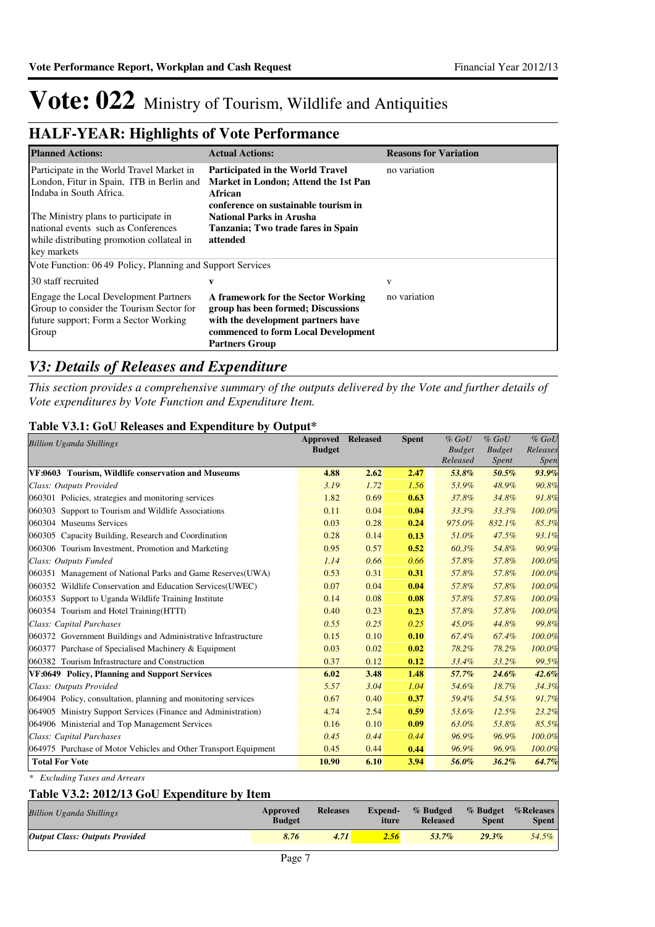#### **HALF-YEAR: Highlights of Vote Performance**

| <b>Planned Actions:</b>                                                                                                                 | <b>Actual Actions:</b>                                                                                                                                                         | <b>Reasons for Variation</b> |
|-----------------------------------------------------------------------------------------------------------------------------------------|--------------------------------------------------------------------------------------------------------------------------------------------------------------------------------|------------------------------|
| Participate in the World Travel Market in<br>London, Fitur in Spain, ITB in Berlin and<br>Indaba in South Africa.                       | <b>Participated in the World Travel</b><br>Market in London; Attend the 1st Pan<br>African<br>conference on sustainable tourism in                                             | no variation                 |
| The Ministry plans to participate in<br>national events such as Conferences<br>while distributing promotion collateal in<br>key markets | <b>National Parks in Arusha</b><br>Tanzania; Two trade fares in Spain<br>attended                                                                                              |                              |
| Vote Function: 06.49 Policy, Planning and Support Services                                                                              |                                                                                                                                                                                |                              |
| 30 staff recruited                                                                                                                      | V                                                                                                                                                                              | v                            |
| Engage the Local Development Partners<br>Group to consider the Tourism Sector for<br>future support; Form a Sector Working<br>Group     | A framework for the Sector Working<br>group has been formed; Discussions<br>with the development partners have<br>commenced to form Local Development<br><b>Partners Group</b> | no variation                 |

#### *V3: Details of Releases and Expenditure*

*This section provides a comprehensive summary of the outputs delivered by the Vote and further details of Vote expenditures by Vote Function and Expenditure Item.*

#### **Table V3.1: GoU Releases and Expenditure by Output\***

| <b>Billion Uganda Shillings</b>                                 | Approved      | <b>Released</b> | <b>Spent</b> | $%$ GoU       | $%$ GoU       | $%$ GoU     |
|-----------------------------------------------------------------|---------------|-----------------|--------------|---------------|---------------|-------------|
|                                                                 | <b>Budget</b> |                 |              | <b>Budget</b> | <b>Budget</b> | Releases    |
|                                                                 |               |                 |              | Released      | <i>Spent</i>  | <i>Spen</i> |
| VF:0603 Tourism, Wildlife conservation and Museums              | 4.88          | 2.62            | 2.47         | 53.8%         | 50.5%         | 93.9%       |
| Class: Outputs Provided                                         | 3.19          | 1.72            | 1.56         | 53.9%         | 48.9%         | 90.8%       |
| 060301 Policies, strategies and monitoring services             | 1.82          | 0.69            | 0.63         | 37.8%         | 34.8%         | 91.8%       |
| 060303 Support to Tourism and Wildlife Associations             | 0.11          | 0.04            | 0.04         | 33.3%         | 33.3%         | 100.0%      |
| 060304 Museums Services                                         | 0.03          | 0.28            | 0.24         | 975.0%        | 832.1%        | 85.3%       |
| 060305 Capacity Building, Research and Coordination             | 0.28          | 0.14            | 0.13         | 51.0%         | 47.5%         | 93.1%       |
| 060306 Tourism Investment, Promotion and Marketing              | 0.95          | 0.57            | 0.52         | 60.3%         | 54.8%         | 90.9%       |
| Class: Outputs Funded                                           | 1.14          | 0.66            | 0.66         | 57.8%         | 57.8%         | 100.0%      |
| 060351 Management of National Parks and Game Reserves (UWA)     | 0.53          | 0.31            | 0.31         | 57.8%         | 57.8%         | 100.0%      |
| 060352 Wildlife Conservation and Education Services (UWEC)      | 0.07          | 0.04            | 0.04         | 57.8%         | 57.8%         | 100.0%      |
| 060353 Support to Uganda Wildlife Training Institute            | 0.14          | 0.08            | 0.08         | 57.8%         | 57.8%         | 100.0%      |
| 060354 Tourism and Hotel Training (HTTI)                        | 0.40          | 0.23            | 0.23         | 57.8%         | 57.8%         | 100.0%      |
| Class: Capital Purchases                                        | 0.55          | 0.25            | 0.25         | 45.0%         | 44.8%         | 99.8%       |
| 060372 Government Buildings and Administrative Infrastructure   | 0.15          | 0.10            | 0.10         | 67.4%         | 67.4%         | 100.0%      |
| 060377 Purchase of Specialised Machinery & Equipment            | 0.03          | 0.02            | 0.02         | 78.2%         | 78.2%         | 100.0%      |
| 060382 Tourism Infrastructure and Construction                  | 0.37          | 0.12            | 0.12         | 33.4%         | 33.2%         | 99.5%       |
| VF:0649 Policy, Planning and Support Services                   | 6.02          | 3.48            | 1.48         | 57.7%         | $24.6\%$      | 42.6%       |
| Class: Outputs Provided                                         | 5.57          | 3.04            | 1.04         | 54.6%         | 18.7%         | 34.3%       |
| 064904 Policy, consultation, planning and monitoring services   | 0.67          | 0.40            | 0.37         | 59.4%         | 54.5%         | 91.7%       |
| 064905 Ministry Support Services (Finance and Administration)   | 4.74          | 2.54            | 0.59         | 53.6%         | 12.5%         | 23.2%       |
| 064906 Ministerial and Top Management Services                  | 0.16          | 0.10            | 0.09         | 63.0%         | 53.8%         | 85.5%       |
| Class: Capital Purchases                                        | 0.45          | 0.44            | 0.44         | 96.9%         | 96.9%         | 100.0%      |
| 064975 Purchase of Motor Vehicles and Other Transport Equipment | 0.45          | 0.44            | 0.44         | 96.9%         | 96.9%         | 100.0%      |
| <b>Total For Vote</b>                                           | 10.90         | 6.10            | 3.94         | 56.0%         | 36.2%         | 64.7%       |

*\* Excluding Taxes and Arrears*

#### **Table V3.2: 2012/13 GoU Expenditure by Item**

| <b>Billion Uganda Shillings</b>       | Approved<br><b>Budget</b> | <b>Releases</b> | <b>Expend-</b><br>iture | % Budged % Budget % Releases<br><b>Released</b> | Spent | <b>Spent</b> |
|---------------------------------------|---------------------------|-----------------|-------------------------|-------------------------------------------------|-------|--------------|
| <b>Output Class: Outputs Provided</b> | 8.76                      | 4.71            | 2.56                    | 53.7%                                           | 29.3% | 54.5%        |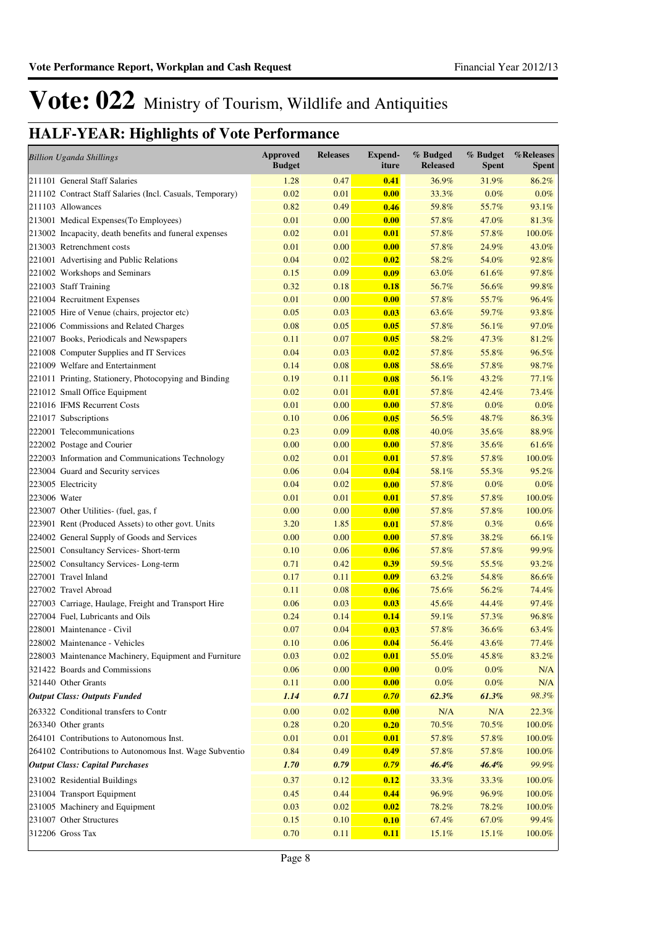### **HALF-YEAR: Highlights of Vote Performance**

| <b>Billion Uganda Shillings</b>                           | <b>Approved</b><br><b>Budget</b> | <b>Releases</b> | <b>Expend-</b><br>iture | % Budged<br><b>Released</b> | % Budget<br><b>Spent</b> | %Releases<br><b>Spent</b> |
|-----------------------------------------------------------|----------------------------------|-----------------|-------------------------|-----------------------------|--------------------------|---------------------------|
| 211101 General Staff Salaries                             | 1.28                             | 0.47            | 0.41                    | 36.9%                       | 31.9%                    | 86.2%                     |
| 211102 Contract Staff Salaries (Incl. Casuals, Temporary) | 0.02                             | 0.01            | 0.00                    | 33.3%                       | 0.0%                     | $0.0\%$                   |
| 211103 Allowances                                         | 0.82                             | 0.49            | 0.46                    | 59.8%                       | 55.7%                    | 93.1%                     |
| 213001 Medical Expenses(To Employees)                     | 0.01                             | 0.00            | 0.00                    | 57.8%                       | 47.0%                    | 81.3%                     |
| 213002 Incapacity, death benefits and funeral expenses    | 0.02                             | 0.01            | 0.01                    | 57.8%                       | 57.8%                    | $100.0\%$                 |
| 213003 Retrenchment costs                                 | 0.01                             | 0.00            | 0.00                    | 57.8%                       | 24.9%                    | 43.0%                     |
| 221001 Advertising and Public Relations                   | 0.04                             | 0.02            | 0.02                    | 58.2%                       | 54.0%                    | 92.8%                     |
| 221002 Workshops and Seminars                             | 0.15                             | 0.09            | 0.09                    | 63.0%                       | 61.6%                    | 97.8%                     |
| 221003 Staff Training                                     | 0.32                             | 0.18            | 0.18                    | 56.7%                       | 56.6%                    | 99.8%                     |
| 221004 Recruitment Expenses                               | 0.01                             | 0.00            | 0.00                    | 57.8%                       | 55.7%                    | 96.4%                     |
| 221005 Hire of Venue (chairs, projector etc)              | 0.05                             | 0.03            | 0.03                    | 63.6%                       | 59.7%                    | 93.8%                     |
| 221006 Commissions and Related Charges                    | 0.08                             | 0.05            | 0.05                    | 57.8%                       | 56.1%                    | 97.0%                     |
| 221007 Books, Periodicals and Newspapers                  | 0.11                             | 0.07            | 0.05                    | 58.2%                       | 47.3%                    | 81.2%                     |
| 221008 Computer Supplies and IT Services                  | 0.04                             | 0.03            | 0.02                    | 57.8%                       | 55.8%                    | 96.5%                     |
| 221009 Welfare and Entertainment                          | 0.14                             | 0.08            | 0.08                    | 58.6%                       | 57.8%                    | 98.7%                     |
| 221011 Printing, Stationery, Photocopying and Binding     | 0.19                             | 0.11            | 0.08                    | 56.1%                       | 43.2%                    | 77.1%                     |
| 221012 Small Office Equipment                             | 0.02                             | 0.01            | 0.01                    | 57.8%                       | 42.4%                    | 73.4%                     |
| 221016 IFMS Recurrent Costs                               | 0.01                             | 0.00            | 0.00                    | 57.8%                       | 0.0%                     | $0.0\%$                   |
| 221017 Subscriptions                                      | 0.10                             | 0.06            | 0.05                    | 56.5%                       | 48.7%                    | 86.3%                     |
| 222001 Telecommunications                                 | 0.23                             | 0.09            | 0.08                    | 40.0%                       | 35.6%                    | 88.9%                     |
| 222002 Postage and Courier                                | 0.00                             | 0.00            | 0.00                    | 57.8%                       | 35.6%                    | 61.6%                     |
| 222003 Information and Communications Technology          | 0.02                             | 0.01            | 0.01                    | 57.8%                       | 57.8%                    | 100.0%                    |
| 223004 Guard and Security services                        | 0.06                             | 0.04            | 0.04                    | 58.1%                       | 55.3%                    | 95.2%                     |
| 223005 Electricity                                        | 0.04                             | 0.02            | 0.00                    | 57.8%                       | 0.0%                     | $0.0\%$                   |
| 223006 Water                                              | 0.01                             | 0.01            | 0.01                    | 57.8%                       | 57.8%                    | 100.0%                    |
| 223007 Other Utilities- (fuel, gas, f                     | 0.00                             | 0.00            | 0.00                    | 57.8%                       | 57.8%                    | 100.0%                    |
| 223901 Rent (Produced Assets) to other govt. Units        | 3.20                             | 1.85            | 0.01                    | 57.8%                       | 0.3%                     | 0.6%                      |
| 224002 General Supply of Goods and Services               | 0.00                             | 0.00            | 0.00                    | 57.8%                       | 38.2%                    | 66.1%                     |
| 225001 Consultancy Services- Short-term                   | 0.10                             | 0.06            | 0.06                    | 57.8%                       | 57.8%                    | 99.9%                     |
| 225002 Consultancy Services-Long-term                     | 0.71                             | 0.42            | 0.39                    | 59.5%                       | 55.5%                    | 93.2%                     |
| 227001 Travel Inland                                      | 0.17                             | 0.11            | 0.09                    | 63.2%                       | 54.8%                    | 86.6%                     |
| 227002 Travel Abroad                                      | 0.11                             | 0.08            | 0.06                    | 75.6%                       | 56.2%                    | 74.4%                     |
| 227003 Carriage, Haulage, Freight and Transport Hire      | 0.06                             | 0.03            | 0.03                    | 45.6%                       | 44.4%                    | 97.4%                     |
| 227004 Fuel, Lubricants and Oils                          | 0.24                             | 0.14            | 0.14                    | 59.1%                       | 57.3%                    | 96.8%                     |
| 228001 Maintenance - Civil                                | 0.07                             | 0.04            | 0.03                    | 57.8%                       | 36.6%                    | 63.4%                     |
| 228002 Maintenance - Vehicles                             | 0.10                             | 0.06            | 0.04                    | 56.4%                       | 43.6%                    | 77.4%                     |
| 228003 Maintenance Machinery, Equipment and Furniture     | 0.03                             | 0.02            | 0.01                    | 55.0%                       | 45.8%                    | 83.2%                     |
| 321422 Boards and Commissions                             | 0.06                             | 0.00            | 0.00                    | $0.0\%$                     | $0.0\%$                  | N/A                       |
| 321440 Other Grants                                       | 0.11                             | 0.00            | 0.00                    | $0.0\%$                     | $0.0\%$                  | N/A                       |
| <b>Output Class: Outputs Funded</b>                       | 1.14                             | 0.71            | 0.70                    | 62.3%                       | 61.3%                    | 98.3%                     |
| 263322 Conditional transfers to Contr                     | 0.00                             | 0.02            | 0.00                    | N/A                         | N/A                      | 22.3%                     |
| 263340 Other grants                                       | 0.28                             | 0.20            | 0.20                    | 70.5%                       | 70.5%                    | 100.0%                    |
| 264101 Contributions to Autonomous Inst.                  | 0.01                             | 0.01            | 0.01                    | 57.8%                       | 57.8%                    | 100.0%                    |
| 264102 Contributions to Autonomous Inst. Wage Subventio   | 0.84                             | 0.49            | 0.49                    | 57.8%                       | 57.8%                    | 100.0%                    |
| <b>Output Class: Capital Purchases</b>                    | 1.70                             | 0.79            | 0.79                    | 46.4%                       | 46.4%                    | 99.9%                     |
| 231002 Residential Buildings                              | 0.37                             | 0.12            | 0.12                    | 33.3%                       | 33.3%                    | $100.0\%$                 |
| 231004 Transport Equipment                                | 0.45                             | 0.44            | 0.44                    | 96.9%                       | 96.9%                    | 100.0%                    |
| 231005 Machinery and Equipment                            | 0.03                             | 0.02            | 0.02                    | 78.2%                       | 78.2%                    | 100.0%                    |
| 231007 Other Structures                                   | 0.15                             | 0.10            | 0.10                    | 67.4%                       | 67.0%                    | 99.4%                     |
| 312206 Gross Tax                                          | 0.70                             | 0.11            | 0.11                    | 15.1%                       | 15.1%                    | $100.0\%$                 |
|                                                           |                                  |                 |                         |                             |                          |                           |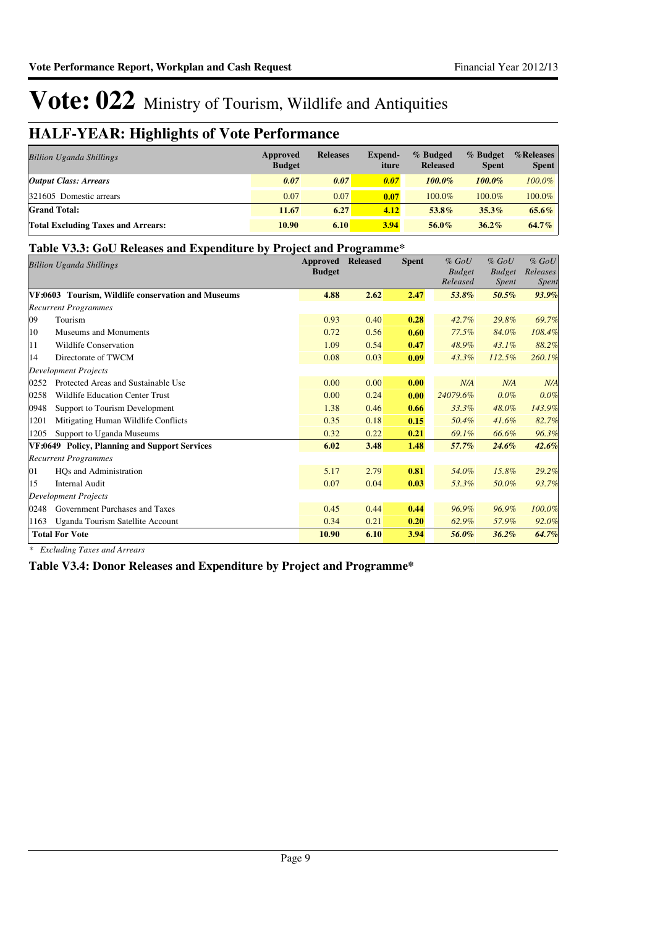### **HALF-YEAR: Highlights of Vote Performance**

| <b>Billion Uganda Shillings</b>           | Approved<br><b>Budget</b> | <b>Releases</b> | Expend-<br>iture | % Budged<br><b>Released</b> | % Budget<br><b>Spent</b> | %Releases<br><b>Spent</b> |
|-------------------------------------------|---------------------------|-----------------|------------------|-----------------------------|--------------------------|---------------------------|
| <b>Output Class: Arrears</b>              | 0.07                      | 0.07            | 0.07             | $100.0\%$                   | $100.0\%$                | 100.0%                    |
| 321605 Domestic arrears                   | 0.07                      | 0.07            | 0.07             | 100.0%                      | 100.0%                   | 100.0%                    |
| <b>Grand Total:</b>                       | 11.67                     | 6.27            | 4.12             | 53.8%                       | $35.3\%$                 | 65.6%                     |
| <b>Total Excluding Taxes and Arrears:</b> | 10.90                     | 6.10            | 3.94             | 56.0%                       | $36.2\%$                 | 64.7%                     |

#### **Table V3.3: GoU Releases and Expenditure by Project and Programme\***

|      | <b>Billion Uganda Shillings</b>                    | Approved<br><b>Budget</b> | <b>Released</b> | <b>Spent</b> | $%$ GoU<br><b>Budget</b><br>Released | $%$ GoU<br><b>Budget</b><br><i>Spent</i> | $%$ GoU<br>Releases<br>Spent |
|------|----------------------------------------------------|---------------------------|-----------------|--------------|--------------------------------------|------------------------------------------|------------------------------|
|      | VF:0603 Tourism, Wildlife conservation and Museums | 4.88                      | 2.62            | 2.47         | 53.8%                                | 50.5%                                    | 93.9%                        |
|      | <b>Recurrent Programmes</b>                        |                           |                 |              |                                      |                                          |                              |
| 09   | Tourism                                            | 0.93                      | 0.40            | 0.28         | 42.7%                                | 29.8%                                    | 69.7%                        |
| 10   | Museums and Monuments                              | 0.72                      | 0.56            | 0.60         | 77.5%                                | 84.0%                                    | 108.4%                       |
| 11   | <b>Wildlife Conservation</b>                       | 1.09                      | 0.54            | 0.47         | 48.9%                                | $43.1\%$                                 | 88.2%                        |
| 14   | Directorate of TWCM                                | 0.08                      | 0.03            | 0.09         | 43.3%                                | 112.5%                                   | 260.1%                       |
|      | <b>Development Projects</b>                        |                           |                 |              |                                      |                                          |                              |
| 0252 | Protected Areas and Sustainable Use                | 0.00                      | 0.00            | 0.00         | N/A                                  | N/A                                      | N/A                          |
| 0258 | <b>Wildlife Education Center Trust</b>             | 0.00                      | 0.24            | 0.00         | 24079.6%                             | $0.0\%$                                  | 0.0%                         |
| 0948 | Support to Tourism Development                     | 1.38                      | 0.46            | 0.66         | 33.3%                                | 48.0%                                    | 143.9%                       |
| 1201 | Mitigating Human Wildlife Conflicts                | 0.35                      | 0.18            | 0.15         | 50.4%                                | 41.6%                                    | 82.7%                        |
| 1205 | Support to Uganda Museums                          | 0.32                      | 0.22            | 0.21         | 69.1%                                | 66.6%                                    | 96.3%                        |
|      | VF:0649 Policy, Planning and Support Services      | 6.02                      | 3.48            | 1.48         | 57.7%                                | $24.6\%$                                 | 42.6%                        |
|      | <b>Recurrent Programmes</b>                        |                           |                 |              |                                      |                                          |                              |
| 01   | HQs and Administration                             | 5.17                      | 2.79            | 0.81         | 54.0%                                | 15.8%                                    | 29.2%                        |
| 15   | <b>Internal Audit</b>                              | 0.07                      | 0.04            | 0.03         | 53.3%                                | 50.0%                                    | 93.7%                        |
|      | <b>Development Projects</b>                        |                           |                 |              |                                      |                                          |                              |
| 0248 | Government Purchases and Taxes                     | 0.45                      | 0.44            | 0.44         | 96.9%                                | 96.9%                                    | 100.0%                       |
| 1163 | Uganda Tourism Satellite Account                   | 0.34                      | 0.21            | 0.20         | 62.9%                                | 57.9%                                    | 92.0%                        |
|      | <b>Total For Vote</b>                              | 10.90                     | 6.10            | 3.94         | 56.0%                                | 36.2%                                    | 64.7%                        |

*\* Excluding Taxes and Arrears*

**Table V3.4: Donor Releases and Expenditure by Project and Programme\***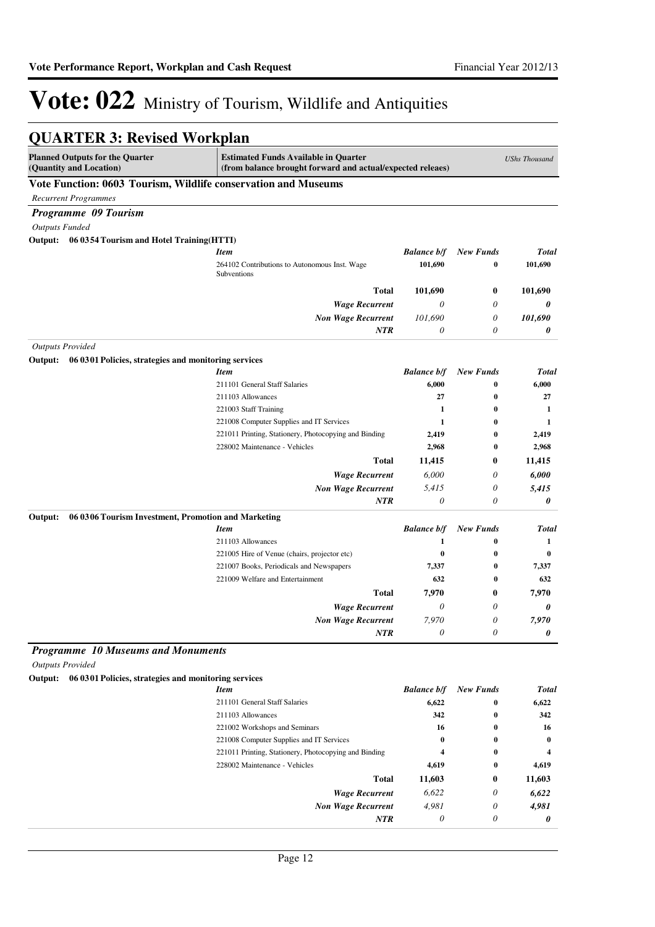*0*

*0*

# Vote: 022 Ministry of Tourism, Wildlife and Antiquities

#### **QUARTER 3: Revised Workplan**

| <b>Planned Outputs for the Quarter</b><br>(Quantity and Location) | <b>Estimated Funds Available in Quarter</b><br>(from balance brought forward and actual/expected releaes) |                    |                       | <b>UShs Thousand</b> |
|-------------------------------------------------------------------|-----------------------------------------------------------------------------------------------------------|--------------------|-----------------------|----------------------|
| Vote Function: 0603 Tourism, Wildlife conservation and Museums    |                                                                                                           |                    |                       |                      |
| <b>Recurrent Programmes</b>                                       |                                                                                                           |                    |                       |                      |
| Programme 09 Tourism                                              |                                                                                                           |                    |                       |                      |
| <b>Outputs Funded</b>                                             |                                                                                                           |                    |                       |                      |
| Output:<br>06 0354 Tourism and Hotel Training (HTTI)              |                                                                                                           |                    |                       |                      |
|                                                                   | <b>Item</b>                                                                                               | <b>Balance b/f</b> | <b>New Funds</b>      | <b>Total</b>         |
|                                                                   | 264102 Contributions to Autonomous Inst. Wage<br>Subventions                                              | 101,690            | 0                     | 101,690              |
|                                                                   | Total                                                                                                     | 101,690            | 0                     | 101.690              |
|                                                                   | <b>Wage Recurrent</b>                                                                                     | $\theta$           | 0                     | 0                    |
|                                                                   | <b>Non Wage Recurrent</b>                                                                                 | 101,690            | 0                     | 101,690              |
|                                                                   | <b>NTR</b>                                                                                                | $\theta$           | 0                     | 0                    |
| <b>Outputs Provided</b>                                           |                                                                                                           |                    |                       |                      |
| Output:<br>06 0301 Policies, strategies and monitoring services   |                                                                                                           |                    |                       |                      |
|                                                                   | <b>Item</b>                                                                                               | <b>Balance b/f</b> | <b>New Funds</b>      | <b>Total</b>         |
|                                                                   | 211101 General Staff Salaries                                                                             | 6,000              | 0                     | 6,000                |
|                                                                   | 211103 Allowances                                                                                         | 27                 | 0                     | 27                   |
|                                                                   | 221003 Staff Training                                                                                     | 1                  | $\bf{0}$              | 1                    |
|                                                                   | 221008 Computer Supplies and IT Services                                                                  | 1                  | $\bf{0}$              | 1                    |
|                                                                   | 221011 Printing, Stationery, Photocopying and Binding                                                     | 2,419              | $\bf{0}$              | 2,419                |
|                                                                   | 228002 Maintenance - Vehicles                                                                             | 2,968              | $\bf{0}$              | 2,968                |
|                                                                   | Total                                                                                                     | 11,415             | 0                     | 11,415               |
|                                                                   | <b>Wage Recurrent</b>                                                                                     | 6,000              | 0                     | 6,000                |
|                                                                   | <b>Non Wage Recurrent</b>                                                                                 | 5,415              | 0                     | 5,415                |
|                                                                   | <b>NTR</b>                                                                                                | $\theta$           | $\boldsymbol{\theta}$ | 0                    |
| 06 03 06 Tourism Investment, Promotion and Marketing<br>Output:   |                                                                                                           |                    |                       |                      |
|                                                                   | <b>Item</b>                                                                                               | <b>Balance b/f</b> | <b>New Funds</b>      | Total                |
|                                                                   | 211103 Allowances                                                                                         | 1                  | 0                     | 1                    |
|                                                                   | 221005 Hire of Venue (chairs, projector etc)                                                              | $\bf{0}$           | $\bf{0}$              | $\bf{0}$             |
|                                                                   | 221007 Books, Periodicals and Newspapers                                                                  | 7,337              | 0                     | 7,337                |
|                                                                   | 221009 Welfare and Entertainment                                                                          | 632                | $\bf{0}$              | 632                  |
|                                                                   | Total                                                                                                     | 7,970              | 0                     | 7,970                |
|                                                                   | <b>Wage Recurrent</b>                                                                                     | $\theta$           | 0                     | 0                    |
|                                                                   | <b>Non Wage Recurrent</b>                                                                                 | 7,970              | 0                     | 7,970                |
|                                                                   | <b>NTR</b>                                                                                                | 0                  | 0                     | 0                    |
| <b>Programme 10 Museums and Monuments</b>                         |                                                                                                           |                    |                       |                      |
| <b>Outputs Provided</b>                                           |                                                                                                           |                    |                       |                      |
| Output: 06 03 01 Policies, strategies and monitoring services     |                                                                                                           |                    |                       |                      |
|                                                                   | <b>Item</b>                                                                                               | <b>Balance b/f</b> | <b>New Funds</b>      | Total                |
|                                                                   | 211101 General Staff Salaries                                                                             | 6,622              | $\bf{0}$              | 6,622                |
|                                                                   | 211103 Allowances                                                                                         | 342                | 0                     | 342                  |
|                                                                   | 221002 Workshops and Seminars                                                                             | 16                 | 0                     | 16                   |
|                                                                   | 221008 Computer Supplies and IT Services                                                                  | $\bf{0}$           | 0                     | $\bf{0}$             |
|                                                                   | 221011 Printing, Stationery, Photocopying and Binding                                                     | 4                  | 0                     | 4                    |
|                                                                   | 228002 Maintenance - Vehicles                                                                             | 4,619              | 0                     | 4,619                |
|                                                                   | Total                                                                                                     | 11,603             | 0                     | 11,603               |
|                                                                   | <b>Wage Recurrent</b>                                                                                     | 6,622              | 0                     | 6,622                |
|                                                                   | <b>Non Wage Recurrent</b>                                                                                 | 4,981              | 0                     | 4,981                |

*NTR*

*0*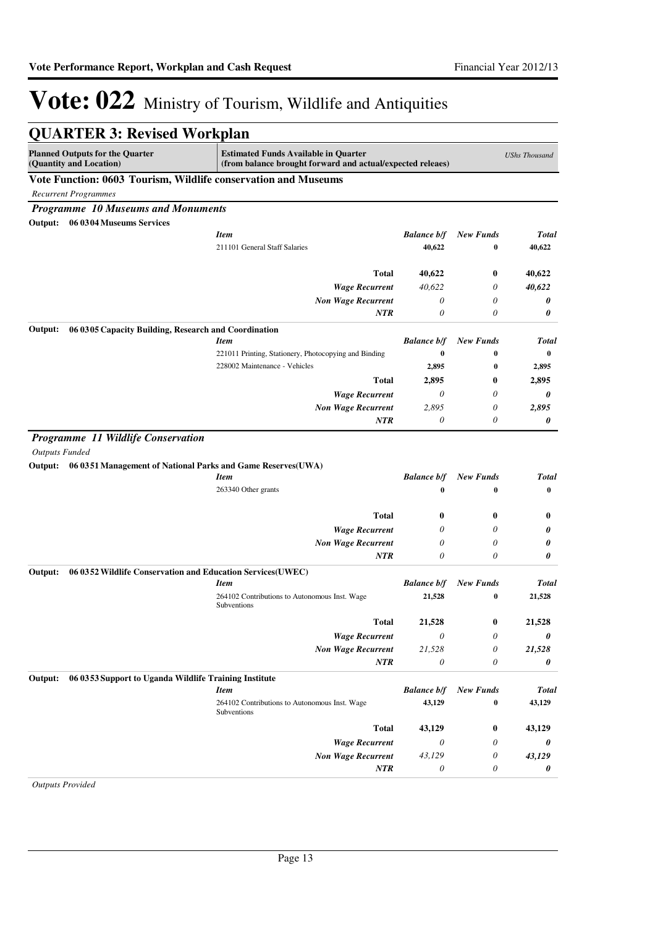| <b>QUARTER 3: Revised Workplan</b>                                    |                                                                                                           |                                |                              |                      |
|-----------------------------------------------------------------------|-----------------------------------------------------------------------------------------------------------|--------------------------------|------------------------------|----------------------|
| <b>Planned Outputs for the Quarter</b><br>(Quantity and Location)     | <b>Estimated Funds Available in Quarter</b><br>(from balance brought forward and actual/expected releaes) |                                |                              | <b>UShs Thousand</b> |
| Vote Function: 0603 Tourism, Wildlife conservation and Museums        |                                                                                                           |                                |                              |                      |
| <b>Recurrent Programmes</b>                                           |                                                                                                           |                                |                              |                      |
| <b>Programme 10 Museums and Monuments</b>                             |                                                                                                           |                                |                              |                      |
| Output: 06 0304 Museums Services                                      |                                                                                                           |                                |                              |                      |
|                                                                       | <b>Item</b>                                                                                               | <b>Balance b/f</b>             | <b>New Funds</b>             | <b>Total</b>         |
|                                                                       | 211101 General Staff Salaries                                                                             | 40,622                         | $\bf{0}$                     | 40,622               |
|                                                                       | <b>Total</b>                                                                                              | 40,622                         | 0                            | 40,622               |
|                                                                       | <b>Wage Recurrent</b>                                                                                     | 40,622                         | 0                            | 40,622               |
|                                                                       | <b>Non Wage Recurrent</b>                                                                                 | 0                              | 0                            | 0                    |
|                                                                       | <b>NTR</b>                                                                                                | 0                              | 0                            | 0                    |
| 06 03 05 Capacity Building, Research and Coordination<br>Output:      |                                                                                                           |                                |                              |                      |
|                                                                       | <b>Item</b>                                                                                               | <b>Balance b/f</b>             | <b>New Funds</b>             | Total                |
|                                                                       | 221011 Printing, Stationery, Photocopying and Binding<br>228002 Maintenance - Vehicles                    | $\bf{0}$                       | $\bf{0}$                     | 0                    |
|                                                                       |                                                                                                           | 2,895                          | $\bf{0}$                     | 2,895                |
|                                                                       | <b>Total</b>                                                                                              | 2,895                          | 0                            | 2,895                |
|                                                                       | <b>Wage Recurrent</b>                                                                                     | 0                              | 0                            | 0                    |
|                                                                       | <b>Non Wage Recurrent</b>                                                                                 | 2,895                          | 0                            | 2,895                |
|                                                                       | <b>NTR</b>                                                                                                | 0                              | 0                            | 0                    |
| Output: 06 0351 Management of National Parks and Game Reserves(UWA)   | <b>Item</b><br>263340 Other grants                                                                        | <b>Balance b/f</b><br>$\bf{0}$ | <b>New Funds</b><br>$\bf{0}$ | <b>Total</b><br>0    |
|                                                                       |                                                                                                           |                                |                              |                      |
|                                                                       | <b>Total</b>                                                                                              | 0                              | $\bf{0}$                     | $\bf{0}$             |
|                                                                       | <b>Wage Recurrent</b>                                                                                     | 0                              | 0                            | 0                    |
|                                                                       | <b>Non Wage Recurrent</b>                                                                                 | 0                              | 0                            | 0                    |
|                                                                       | <b>NTR</b>                                                                                                | 0                              | 0                            | 0                    |
| 06 0352 Wildlife Conservation and Education Services(UWEC)<br>Output: | <b>Item</b>                                                                                               | <b>Balance b/f</b>             | <b>New Funds</b>             | Total                |
|                                                                       | 264102 Contributions to Autonomous Inst. Wage<br>Subventions                                              | 21,528                         | $\bf{0}$                     | 21,528               |
|                                                                       | <b>Total</b>                                                                                              | 21,528                         | $\bf{0}$                     | 21,528               |
|                                                                       | <b>Wage Recurrent</b>                                                                                     | 0                              | 0                            | 0                    |
|                                                                       | <b>Non Wage Recurrent</b>                                                                                 | 21,528                         | 0                            | 21,528               |
|                                                                       | NTR                                                                                                       | $\boldsymbol{\mathit{0}}$      | 0                            | 0                    |
| 06 0353 Support to Uganda Wildlife Training Institute<br>Output:      |                                                                                                           |                                |                              |                      |
|                                                                       | <b>Item</b>                                                                                               | <b>Balance b/f</b>             | <b>New Funds</b>             | <b>Total</b>         |
|                                                                       | 264102 Contributions to Autonomous Inst. Wage<br>Subventions                                              | 43,129                         | $\bf{0}$                     | 43,129               |
|                                                                       | <b>Total</b>                                                                                              | 43,129                         | $\bf{0}$                     | 43,129               |
|                                                                       | <b>Wage Recurrent</b>                                                                                     | 0                              | 0                            | 0                    |
|                                                                       | <b>Non Wage Recurrent</b>                                                                                 | 43,129                         | 0                            | 43,129               |
|                                                                       | NTR                                                                                                       | 0                              | 0                            | 0                    |
| <b>Outputs Provided</b>                                               |                                                                                                           |                                |                              |                      |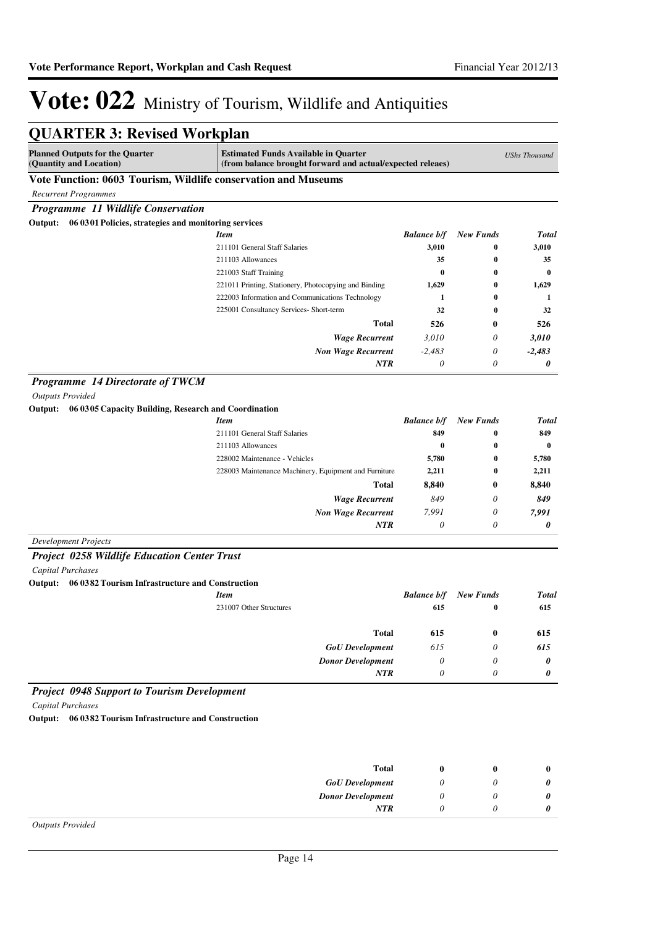| <b>QUARTER 3: Revised Workplan</b>                                |                                                                                                           |                       |                  |                      |
|-------------------------------------------------------------------|-----------------------------------------------------------------------------------------------------------|-----------------------|------------------|----------------------|
| <b>Planned Outputs for the Quarter</b><br>(Quantity and Location) | <b>Estimated Funds Available in Quarter</b><br>(from balance brought forward and actual/expected releaes) |                       |                  | <b>UShs Thousand</b> |
| Vote Function: 0603 Tourism, Wildlife conservation and Museums    |                                                                                                           |                       |                  |                      |
| <b>Recurrent Programmes</b>                                       |                                                                                                           |                       |                  |                      |
| Programme 11 Wildlife Conservation                                |                                                                                                           |                       |                  |                      |
| Output: 06 0301 Policies, strategies and monitoring services      |                                                                                                           |                       |                  |                      |
|                                                                   | <b>Item</b>                                                                                               | <b>Balance b/f</b>    | <b>New Funds</b> | <b>Total</b>         |
|                                                                   | 211101 General Staff Salaries                                                                             | 3,010                 | $\bf{0}$         | 3,010                |
|                                                                   | 211103 Allowances                                                                                         | 35                    | 0                | 35                   |
|                                                                   | 221003 Staff Training                                                                                     | $\bf{0}$              | 0                | $\bf{0}$             |
|                                                                   | 221011 Printing, Stationery, Photocopying and Binding                                                     | 1,629                 | $\bf{0}$         | 1,629                |
|                                                                   | 222003 Information and Communications Technology                                                          | 1                     | $\bf{0}$         | 1                    |
|                                                                   | 225001 Consultancy Services- Short-term                                                                   | 32                    | 0                | 32                   |
|                                                                   | <b>Total</b>                                                                                              | 526                   | $\bf{0}$         | 526                  |
|                                                                   | <b>Wage Recurrent</b>                                                                                     | 3,010                 | 0                | 3,010                |
|                                                                   | <b>Non Wage Recurrent</b>                                                                                 | $-2,483$              | 0                | $-2,483$             |
|                                                                   | NTR                                                                                                       | 0                     | 0                | 0                    |
| Programme 14 Directorate of TWCM                                  |                                                                                                           |                       |                  |                      |
| <b>Outputs Provided</b>                                           |                                                                                                           |                       |                  |                      |
| Output: 06 0305 Capacity Building, Research and Coordination      |                                                                                                           |                       |                  |                      |
|                                                                   | <b>Item</b>                                                                                               | <b>Balance b/f</b>    | <b>New Funds</b> | <b>Total</b>         |
|                                                                   | 211101 General Staff Salaries                                                                             | 849                   | $\bf{0}$         | 849                  |
|                                                                   | 211103 Allowances                                                                                         | $\bf{0}$              | 0                | 0                    |
|                                                                   | 228002 Maintenance - Vehicles                                                                             | 5,780                 | 0                | 5,780                |
|                                                                   | 228003 Maintenance Machinery, Equipment and Furniture                                                     | 2,211                 | 0                | 2,211                |
|                                                                   | <b>Total</b>                                                                                              | 8,840                 | 0                | 8,840                |
|                                                                   | <b>Wage Recurrent</b>                                                                                     | 849                   | 0                | 849                  |
|                                                                   | <b>Non Wage Recurrent</b>                                                                                 | 7,991                 | 0                | 7,991                |
|                                                                   | NTR                                                                                                       | 0                     | $\theta$         | 0                    |
| <b>Development Projects</b>                                       |                                                                                                           |                       |                  |                      |
| <b>Project 0258 Wildlife Education Center Trust</b>               |                                                                                                           |                       |                  |                      |
| <b>Capital Purchases</b>                                          |                                                                                                           |                       |                  |                      |
| 06 0382 Tourism Infrastructure and Construction<br>Output:        |                                                                                                           |                       |                  |                      |
|                                                                   | <b>Item</b>                                                                                               | <b>Balance b/f</b>    | <b>New Funds</b> | <b>Total</b>         |
|                                                                   | 231007 Other Structures                                                                                   | 615                   | $\bf{0}$         | 615                  |
|                                                                   | <b>Total</b>                                                                                              | 615                   | $\bf{0}$         | 615                  |
|                                                                   | <b>GoU</b> Development                                                                                    | 615                   | $\theta$         | 615                  |
|                                                                   | <b>Donor Development</b>                                                                                  | $\theta$              | 0                | 0                    |
|                                                                   | NTR                                                                                                       | $\boldsymbol{\theta}$ | 0                | 0                    |
|                                                                   |                                                                                                           |                       |                  |                      |
| <b>Project 0948 Support to Tourism Development</b>                |                                                                                                           |                       |                  |                      |
| <b>Capital Purchases</b>                                          |                                                                                                           |                       |                  |                      |
| Output: 06 0382 Tourism Infrastructure and Construction           |                                                                                                           |                       |                  |                      |
|                                                                   |                                                                                                           |                       |                  |                      |
|                                                                   | <b>Total</b>                                                                                              | 0                     | $\bf{0}$         | $\bf{0}$             |
|                                                                   | <b>GoU</b> Development                                                                                    | 0                     | 0                | 0                    |
|                                                                   | <b>Donor Development</b>                                                                                  | 0                     | 0                | 0                    |
|                                                                   | NTR                                                                                                       | 0                     | 0                | 0                    |
|                                                                   |                                                                                                           |                       |                  |                      |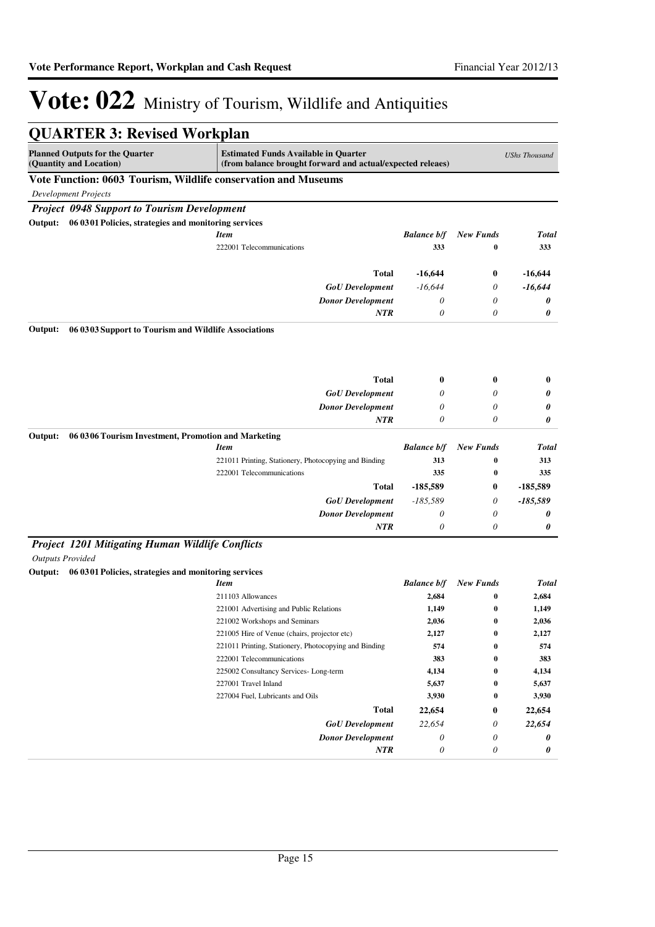| <b>QUARTER 3: Revised Workplan</b>                                                                                                             |                                                                                                           |                    |                  |                      |
|------------------------------------------------------------------------------------------------------------------------------------------------|-----------------------------------------------------------------------------------------------------------|--------------------|------------------|----------------------|
| <b>Planned Outputs for the Quarter</b><br>(Quantity and Location)                                                                              | <b>Estimated Funds Available in Quarter</b><br>(from balance brought forward and actual/expected releaes) |                    |                  | <b>UShs Thousand</b> |
| Vote Function: 0603 Tourism, Wildlife conservation and Museums                                                                                 |                                                                                                           |                    |                  |                      |
| <b>Development Projects</b>                                                                                                                    |                                                                                                           |                    |                  |                      |
| <b>Project 0948 Support to Tourism Development</b>                                                                                             |                                                                                                           |                    |                  |                      |
| Output: 06 03 01 Policies, strategies and monitoring services                                                                                  |                                                                                                           |                    |                  |                      |
|                                                                                                                                                | <b>Item</b>                                                                                               | <b>Balance b/f</b> | <b>New Funds</b> | Total                |
|                                                                                                                                                | 222001 Telecommunications                                                                                 | 333                | $\bf{0}$         | 333                  |
|                                                                                                                                                | Total                                                                                                     | $-16,644$          | 0                | $-16,644$            |
|                                                                                                                                                | <b>GoU</b> Development                                                                                    | $-16,644$          | 0                | $-16,644$            |
|                                                                                                                                                | <b>Donor Development</b>                                                                                  | 0                  | 0                | 0                    |
|                                                                                                                                                | NTR                                                                                                       | 0                  | 0                | 0                    |
| Output:<br>06 03 03 Support to Tourism and Wildlife Associations                                                                               |                                                                                                           |                    |                  |                      |
|                                                                                                                                                | <b>Total</b>                                                                                              | 0                  | 0                | $\bf{0}$             |
|                                                                                                                                                | <b>GoU</b> Development                                                                                    | 0                  | 0                | 0                    |
|                                                                                                                                                | <b>Donor Development</b>                                                                                  | 0                  | 0                | 0                    |
|                                                                                                                                                | NTR                                                                                                       | 0                  | 0                | 0                    |
| Output:<br>06 03 06 Tourism Investment, Promotion and Marketing                                                                                |                                                                                                           |                    |                  |                      |
|                                                                                                                                                | <b>Item</b>                                                                                               | <b>Balance b/f</b> | <b>New Funds</b> | Total                |
|                                                                                                                                                | 221011 Printing, Stationery, Photocopying and Binding                                                     | 313                | 0                | 313                  |
|                                                                                                                                                | 222001 Telecommunications                                                                                 | 335                | $\bf{0}$         | 335                  |
|                                                                                                                                                | <b>Total</b>                                                                                              | $-185,589$         | 0                | -185,589             |
|                                                                                                                                                | <b>GoU</b> Development                                                                                    | $-185,589$         | 0                | $-185,589$           |
|                                                                                                                                                | <b>Donor Development</b>                                                                                  | 0                  | 0                | 0                    |
|                                                                                                                                                | NTR                                                                                                       | 0                  | 0                | 0                    |
| Project 1201 Mitigating Human Wildlife Conflicts<br><b>Outputs Provided</b><br>06 0301 Policies, strategies and monitoring services<br>Output: |                                                                                                           |                    |                  |                      |
|                                                                                                                                                | <b>Item</b>                                                                                               | <b>Balance b/f</b> | <b>New Funds</b> | <b>Total</b>         |
|                                                                                                                                                | 211103 Allowances                                                                                         | 2,684              | 0                | 2,684                |
|                                                                                                                                                | 221001 Advertising and Public Relations                                                                   | 1,149              | $\bf{0}$         | 1,149                |
|                                                                                                                                                | 221002 Workshops and Seminars                                                                             | 2,036              | 0                | 2,036                |
|                                                                                                                                                | 221005 Hire of Venue (chairs, projector etc)                                                              | 2,127              | 0                | 2,127                |
|                                                                                                                                                | 221011 Printing, Stationery, Photocopying and Binding                                                     | 574                | 0                | 574                  |
|                                                                                                                                                | 222001 Telecommunications                                                                                 | 383                | 0                | 383                  |
|                                                                                                                                                | 225002 Consultancy Services-Long-term                                                                     | 4,134              | 0                | 4,134                |
|                                                                                                                                                | 227001 Travel Inland                                                                                      | 5,637              | $\bf{0}$         | 5,637                |
|                                                                                                                                                | 227004 Fuel, Lubricants and Oils                                                                          | 3,930              | 0                | 3,930                |
|                                                                                                                                                | <b>Total</b>                                                                                              | 22,654             | 0                | 22,654               |
|                                                                                                                                                | <b>GoU</b> Development                                                                                    | 22,654             | 0                | 22,654               |
|                                                                                                                                                | <b>Donor Development</b>                                                                                  | 0                  | 0                | 0                    |
|                                                                                                                                                | <b>NTR</b>                                                                                                | 0                  | 0                | 0                    |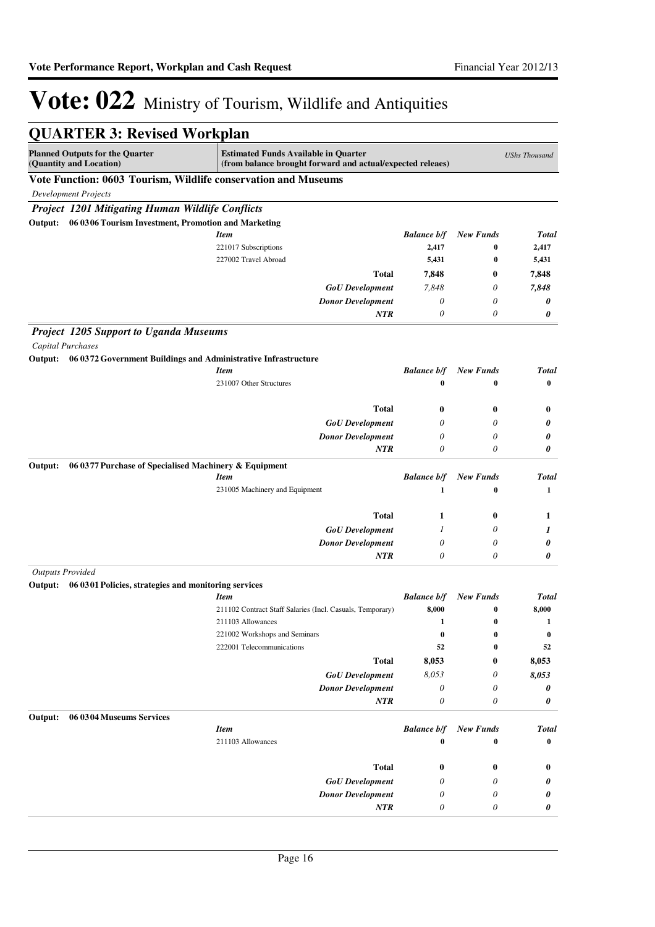| <b>QUARTER 3: Revised Workplan</b>                                        |                                                                                                           |                           |                  |                      |
|---------------------------------------------------------------------------|-----------------------------------------------------------------------------------------------------------|---------------------------|------------------|----------------------|
| <b>Planned Outputs for the Quarter</b><br>(Quantity and Location)         | <b>Estimated Funds Available in Quarter</b><br>(from balance brought forward and actual/expected releaes) |                           |                  | <b>UShs Thousand</b> |
| Vote Function: 0603 Tourism, Wildlife conservation and Museums            |                                                                                                           |                           |                  |                      |
| <b>Development Projects</b>                                               |                                                                                                           |                           |                  |                      |
| Project 1201 Mitigating Human Wildlife Conflicts                          |                                                                                                           |                           |                  |                      |
| 06 0306 Tourism Investment, Promotion and Marketing<br>Output:            |                                                                                                           |                           |                  |                      |
|                                                                           | <b>Item</b>                                                                                               | <b>Balance b/f</b>        | <b>New Funds</b> | <b>Total</b>         |
|                                                                           | 221017 Subscriptions                                                                                      | 2,417                     | 0                | 2,417                |
|                                                                           | 227002 Travel Abroad                                                                                      | 5,431                     | $\bf{0}$         | 5,431                |
|                                                                           | <b>Total</b>                                                                                              | 7,848                     | $\bf{0}$         | 7.848                |
|                                                                           | <b>GoU</b> Development                                                                                    | 7,848                     | $\theta$         | 7,848                |
|                                                                           | <b>Donor Development</b>                                                                                  | $\boldsymbol{\theta}$     | $\theta$         | 0                    |
|                                                                           | NTR                                                                                                       | 0                         | $\theta$         | 0                    |
| <b>Project 1205 Support to Uganda Museums</b>                             |                                                                                                           |                           |                  |                      |
| <b>Capital Purchases</b>                                                  |                                                                                                           |                           |                  |                      |
| Output:<br>06 0372 Government Buildings and Administrative Infrastructure |                                                                                                           |                           |                  |                      |
|                                                                           | <b>Item</b>                                                                                               | <b>Balance b/f</b>        | <b>New Funds</b> | <b>Total</b>         |
|                                                                           | 231007 Other Structures                                                                                   | 0                         | $\bf{0}$         | $\bf{0}$             |
|                                                                           | <b>Total</b>                                                                                              | 0                         | $\bf{0}$         | $\bf{0}$             |
|                                                                           | <b>GoU</b> Development                                                                                    | 0                         | 0                | 0                    |
|                                                                           | <b>Donor Development</b>                                                                                  | 0                         | $\theta$         | 0                    |
|                                                                           | <b>NTR</b>                                                                                                | 0                         | $\theta$         | 0                    |
| 06 0377 Purchase of Specialised Machinery & Equipment<br>Output:          |                                                                                                           |                           |                  |                      |
|                                                                           | <b>Item</b>                                                                                               | <b>Balance b/f</b>        | <b>New Funds</b> | <b>Total</b>         |
|                                                                           | 231005 Machinery and Equipment                                                                            | $\mathbf{1}$              | $\bf{0}$         | $\mathbf{1}$         |
|                                                                           | <b>Total</b>                                                                                              | 1                         | $\bf{0}$         | 1                    |
|                                                                           | <b>GoU</b> Development                                                                                    | 1                         | 0                | 1                    |
|                                                                           | <b>Donor Development</b>                                                                                  | 0                         | 0                | 0                    |
|                                                                           | NTR                                                                                                       | 0                         | $\theta$         | 0                    |
| <b>Outputs Provided</b>                                                   |                                                                                                           |                           |                  |                      |
| 06 0301 Policies, strategies and monitoring services<br>Output:           | <b>Item</b>                                                                                               | <b>Balance b/f</b>        | <b>New Funds</b> | <b>Total</b>         |
|                                                                           | 211102 Contract Staff Salaries (Incl. Casuals, Temporary)                                                 | 8,000                     | 0                | 8,000                |
|                                                                           | 211103 Allowances                                                                                         | 1                         | 0                | 1                    |
|                                                                           | 221002 Workshops and Seminars                                                                             | $\bf{0}$                  | 0                | $\bf{0}$             |
|                                                                           | 222001 Telecommunications                                                                                 | 52                        | 0                | 52                   |
|                                                                           | <b>Total</b>                                                                                              | 8,053                     | $\bf{0}$         | 8,053                |
|                                                                           | <b>GoU</b> Development                                                                                    | 8,053                     | 0                | 8,053                |
|                                                                           | <b>Donor Development</b>                                                                                  | 0                         | 0                | 0                    |
|                                                                           | NTR                                                                                                       | $\boldsymbol{\mathit{0}}$ | 0                | 0                    |
| 06 0304 Museums Services<br>Output:                                       |                                                                                                           |                           |                  |                      |
|                                                                           | <b>Item</b>                                                                                               | <b>Balance b/f</b>        | <b>New Funds</b> | <b>Total</b>         |
|                                                                           | 211103 Allowances                                                                                         | $\bf{0}$                  | $\bf{0}$         | $\bf{0}$             |
|                                                                           | <b>Total</b>                                                                                              | 0                         | $\bf{0}$         | $\bf{0}$             |
|                                                                           | <b>GoU</b> Development                                                                                    | 0                         | 0                | 0                    |
|                                                                           | <b>Donor Development</b>                                                                                  | 0                         | 0                | 0                    |
|                                                                           | NTR                                                                                                       | 0                         | 0                | 0                    |
|                                                                           |                                                                                                           |                           |                  |                      |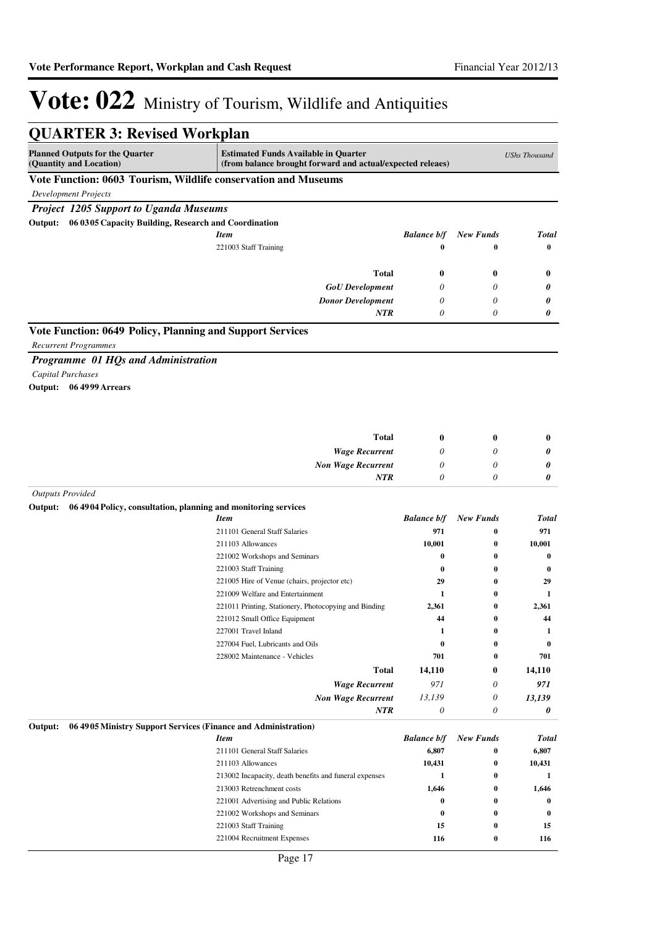| <b>QUARTER 3: Revised Workplan</b>                                        |                                                                                                           |                    |                  |                      |
|---------------------------------------------------------------------------|-----------------------------------------------------------------------------------------------------------|--------------------|------------------|----------------------|
| <b>Planned Outputs for the Quarter</b><br>(Quantity and Location)         | <b>Estimated Funds Available in Quarter</b><br>(from balance brought forward and actual/expected releaes) |                    |                  | <b>UShs Thousand</b> |
| Vote Function: 0603 Tourism, Wildlife conservation and Museums            |                                                                                                           |                    |                  |                      |
| Development Projects                                                      |                                                                                                           |                    |                  |                      |
| <b>Project 1205 Support to Uganda Museums</b>                             |                                                                                                           |                    |                  |                      |
| 06 0305 Capacity Building, Research and Coordination<br>Output:           |                                                                                                           |                    |                  |                      |
|                                                                           | <b>Item</b>                                                                                               | <b>Balance b/f</b> | <b>New Funds</b> | <b>Total</b>         |
|                                                                           | 221003 Staff Training                                                                                     | $\bf{0}$           | 0                | $\bf{0}$             |
|                                                                           |                                                                                                           |                    |                  |                      |
|                                                                           | <b>Total</b>                                                                                              | $\boldsymbol{0}$   | $\bf{0}$         | $\bf{0}$             |
|                                                                           | <b>GoU</b> Development                                                                                    | 0                  | 0                | 0                    |
|                                                                           | <b>Donor Development</b>                                                                                  | 0                  | 0                | 0                    |
|                                                                           | NTR                                                                                                       | $\theta$           | $\theta$         | 0                    |
| Vote Function: 0649 Policy, Planning and Support Services                 |                                                                                                           |                    |                  |                      |
| <b>Recurrent Programmes</b>                                               |                                                                                                           |                    |                  |                      |
| Programme 01 HQs and Administration                                       |                                                                                                           |                    |                  |                      |
| Capital Purchases                                                         |                                                                                                           |                    |                  |                      |
| Output: 06 4999 Arrears                                                   |                                                                                                           |                    |                  |                      |
|                                                                           |                                                                                                           |                    |                  |                      |
|                                                                           |                                                                                                           |                    |                  |                      |
|                                                                           |                                                                                                           |                    |                  |                      |
|                                                                           | <b>Total</b>                                                                                              | $\boldsymbol{0}$   | $\bf{0}$         | $\bf{0}$             |
|                                                                           | <b>Wage Recurrent</b>                                                                                     | 0                  | 0                | 0                    |
|                                                                           | <b>Non Wage Recurrent</b>                                                                                 | 0                  | 0                | 0                    |
|                                                                           | <b>NTR</b>                                                                                                | $\theta$           | $\theta$         | 0                    |
| <b>Outputs Provided</b>                                                   |                                                                                                           |                    |                  |                      |
| 06 4904 Policy, consultation, planning and monitoring services<br>Output: |                                                                                                           |                    |                  |                      |
|                                                                           | <b>Item</b>                                                                                               | <b>Balance b/f</b> | <b>New Funds</b> | <b>Total</b>         |
|                                                                           | 211101 General Staff Salaries                                                                             | 971                | 0                | 971                  |
|                                                                           | 211103 Allowances                                                                                         | 10,001             | $\bf{0}$         | 10,001               |
|                                                                           | 221002 Workshops and Seminars                                                                             | $\bf{0}$           | 0                | 0                    |
|                                                                           | 221003 Staff Training                                                                                     | 0                  | 0                | 0                    |
|                                                                           | 221005 Hire of Venue (chairs, projector etc)<br>221009 Welfare and Entertainment                          | 29                 | 0<br>0           | 29<br>1              |
|                                                                           | 221011 Printing, Stationery, Photocopying and Binding                                                     | 1<br>2,361         | 0                | 2,361                |
|                                                                           | 221012 Small Office Equipment                                                                             | 44                 | 0                | 44                   |
|                                                                           | 227001 Travel Inland                                                                                      | 1                  | 0                | 1                    |
|                                                                           | 227004 Fuel, Lubricants and Oils                                                                          | $\bf{0}$           | 0                | 0                    |
|                                                                           | 228002 Maintenance - Vehicles                                                                             | 701                | 0                | 701                  |
|                                                                           | <b>Total</b>                                                                                              | 14,110             | 0                | 14,110               |
|                                                                           | <b>Wage Recurrent</b>                                                                                     | 971                | 0                | 971                  |
|                                                                           | <b>Non Wage Recurrent</b>                                                                                 | 13,139             | $\theta$         | 13,139               |
|                                                                           | NTR                                                                                                       | $\theta$           | 0                | 0                    |
| 06 4905 Ministry Support Services (Finance and Administration)<br>Output: |                                                                                                           |                    |                  |                      |
|                                                                           | <b>Item</b>                                                                                               | <b>Balance b/f</b> | <b>New Funds</b> | <b>Total</b>         |
|                                                                           | 211101 General Staff Salaries                                                                             | 6,807              | 0                | 6,807                |
|                                                                           | 211103 Allowances                                                                                         | 10,431             | 0                | 10,431               |
|                                                                           | 213002 Incapacity, death benefits and funeral expenses                                                    | 1                  | 0                | 1                    |
|                                                                           | 213003 Retrenchment costs                                                                                 | 1,646              | 0                | 1,646                |
|                                                                           | 221001 Advertising and Public Relations                                                                   | 0                  | $\bf{0}$         | $\bf{0}$             |
|                                                                           | 221002 Workshops and Seminars                                                                             | $\bf{0}$           | 0                | $\bf{0}$             |
|                                                                           | 221003 Staff Training                                                                                     | 15                 | 0                | 15                   |
|                                                                           | 221004 Recruitment Expenses                                                                               | 116                | 0                | 116                  |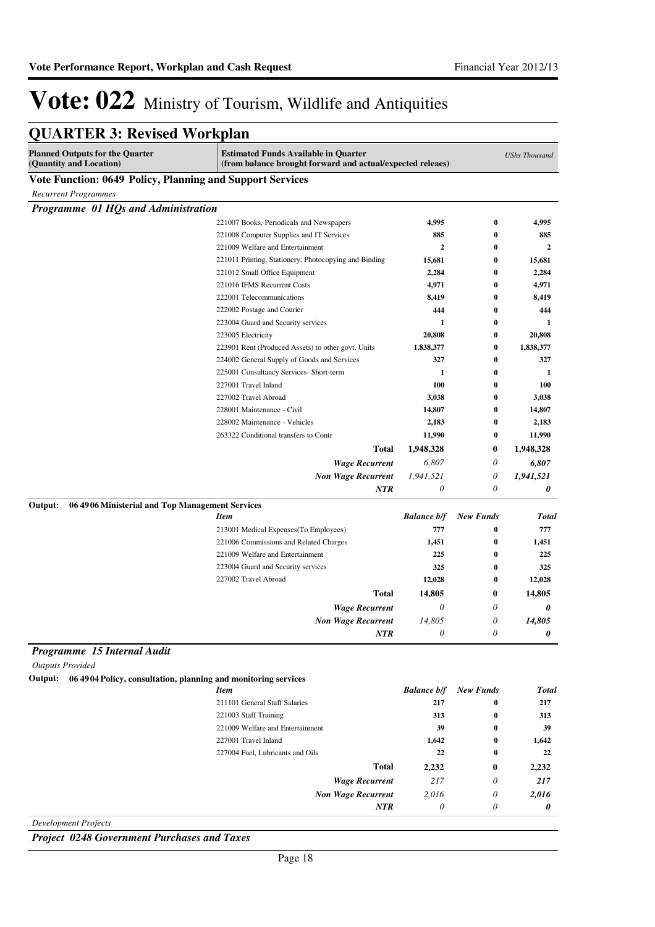| <b>Estimated Funds Available in Quarter</b><br><b>UShs Thousand</b><br>(from balance brought forward and actual/expected releaes)<br>Vote Function: 0649 Policy, Planning and Support Services<br><b>Recurrent Programmes</b><br>Programme 01 HQs and Administration<br>221007 Books, Periodicals and Newspapers<br>4,995<br>$\bf{0}$<br>4,995<br>885<br>885<br>221008 Computer Supplies and IT Services<br>0<br>221009 Welfare and Entertainment<br>2<br>$\mathbf{2}$<br>0<br>221011 Printing, Stationery, Photocopying and Binding<br>15,681<br>15,681<br>0<br>221012 Small Office Equipment<br>2,284<br>0<br>2,284<br>221016 IFMS Recurrent Costs<br>4,971<br>4,971<br>0<br>222001 Telecommunications<br>8,419<br>0<br>8,419<br>222002 Postage and Courier<br>444<br>0<br>444<br>223004 Guard and Security services<br>1<br>0<br>1<br>20,808<br>0<br>20,808<br>223005 Electricity<br>223901 Rent (Produced Assets) to other govt. Units<br>1,838,377<br>1,838,377<br>0<br>224002 General Supply of Goods and Services<br>327<br>0<br>327<br>225001 Consultancy Services- Short-term<br>1<br>0<br>1<br>100<br>227001 Travel Inland<br>0<br>100<br>227002 Travel Abroad<br>3,038<br>3,038<br>0<br>228001 Maintenance - Civil<br>14,807<br>0<br>14,807<br>2,183<br>228002 Maintenance - Vehicles<br>0<br>2,183<br>11,990<br>263322 Conditional transfers to Contr<br>11,990<br>0<br><b>Total</b><br>1,948,328<br>$\bf{0}$<br>1,948,328<br><b>Wage Recurrent</b><br>6,807<br>0<br>6,807<br>1,941,521<br>0<br><b>Non Wage Recurrent</b><br>1,941,521<br>NTR<br>$\theta$<br>0<br>0<br>06 4906 Ministerial and Top Management Services<br><b>Balance b/f</b><br><b>New Funds</b><br><b>Item</b><br>213001 Medical Expenses (To Employees)<br>777<br>777<br>0<br>221006 Commissions and Related Charges<br>1,451<br>0<br>1,451<br>221009 Welfare and Entertainment<br>225<br>0<br>225<br>223004 Guard and Security services<br>325<br>325<br>0<br>227002 Travel Abroad<br>12,028<br>0<br>12,028<br><b>Total</b><br>14,805<br>14,805<br>$\boldsymbol{0}$<br><b>Wage Recurrent</b><br>$\theta$<br>$\theta$<br>0<br>14,805<br>14,805<br><b>Non Wage Recurrent</b><br>$\boldsymbol{\omega}$<br>0<br><b>NTR</b><br>0<br>0<br>Programme 15 Internal Audit<br><b>Outputs Provided</b><br>Output: 06 4904 Policy, consultation, planning and monitoring services<br><b>Balance b/f</b><br><b>New Funds</b><br><b>Item</b><br>211101 General Staff Salaries<br>217<br>$\bf{0}$<br>217<br>221003 Staff Training<br>313<br>313<br>$\bf{0}$<br>221009 Welfare and Entertainment<br>39<br>39<br>0<br>227001 Travel Inland<br>1,642<br>0<br>1,642<br>22<br>22<br>227004 Fuel, Lubricants and Oils<br>0<br><b>Total</b><br>2,232<br>2,232<br>$\bf{0}$<br>217<br>0<br><b>Wage Recurrent</b><br>217<br><b>Non Wage Recurrent</b><br>2,016<br>0<br>2,016<br><b>NTR</b><br>$\theta$<br>0<br>0 | <b>QUARTER 3: Revised Workplan</b>                                |  |       |
|-----------------------------------------------------------------------------------------------------------------------------------------------------------------------------------------------------------------------------------------------------------------------------------------------------------------------------------------------------------------------------------------------------------------------------------------------------------------------------------------------------------------------------------------------------------------------------------------------------------------------------------------------------------------------------------------------------------------------------------------------------------------------------------------------------------------------------------------------------------------------------------------------------------------------------------------------------------------------------------------------------------------------------------------------------------------------------------------------------------------------------------------------------------------------------------------------------------------------------------------------------------------------------------------------------------------------------------------------------------------------------------------------------------------------------------------------------------------------------------------------------------------------------------------------------------------------------------------------------------------------------------------------------------------------------------------------------------------------------------------------------------------------------------------------------------------------------------------------------------------------------------------------------------------------------------------------------------------------------------------------------------------------------------------------------------------------------------------------------------------------------------------------------------------------------------------------------------------------------------------------------------------------------------------------------------------------------------------------------------------------------------------------------------------------------------------------------------------------------------------------------------------------------------------------------------------------------------------------------------------------------------------------------------------------------------------------------------------------------------------------------------------------------------------------------------------------------------------------------------------------|-------------------------------------------------------------------|--|-------|
|                                                                                                                                                                                                                                                                                                                                                                                                                                                                                                                                                                                                                                                                                                                                                                                                                                                                                                                                                                                                                                                                                                                                                                                                                                                                                                                                                                                                                                                                                                                                                                                                                                                                                                                                                                                                                                                                                                                                                                                                                                                                                                                                                                                                                                                                                                                                                                                                                                                                                                                                                                                                                                                                                                                                                                                                                                                                       | <b>Planned Outputs for the Quarter</b><br>(Quantity and Location) |  |       |
|                                                                                                                                                                                                                                                                                                                                                                                                                                                                                                                                                                                                                                                                                                                                                                                                                                                                                                                                                                                                                                                                                                                                                                                                                                                                                                                                                                                                                                                                                                                                                                                                                                                                                                                                                                                                                                                                                                                                                                                                                                                                                                                                                                                                                                                                                                                                                                                                                                                                                                                                                                                                                                                                                                                                                                                                                                                                       |                                                                   |  |       |
|                                                                                                                                                                                                                                                                                                                                                                                                                                                                                                                                                                                                                                                                                                                                                                                                                                                                                                                                                                                                                                                                                                                                                                                                                                                                                                                                                                                                                                                                                                                                                                                                                                                                                                                                                                                                                                                                                                                                                                                                                                                                                                                                                                                                                                                                                                                                                                                                                                                                                                                                                                                                                                                                                                                                                                                                                                                                       |                                                                   |  |       |
|                                                                                                                                                                                                                                                                                                                                                                                                                                                                                                                                                                                                                                                                                                                                                                                                                                                                                                                                                                                                                                                                                                                                                                                                                                                                                                                                                                                                                                                                                                                                                                                                                                                                                                                                                                                                                                                                                                                                                                                                                                                                                                                                                                                                                                                                                                                                                                                                                                                                                                                                                                                                                                                                                                                                                                                                                                                                       |                                                                   |  |       |
|                                                                                                                                                                                                                                                                                                                                                                                                                                                                                                                                                                                                                                                                                                                                                                                                                                                                                                                                                                                                                                                                                                                                                                                                                                                                                                                                                                                                                                                                                                                                                                                                                                                                                                                                                                                                                                                                                                                                                                                                                                                                                                                                                                                                                                                                                                                                                                                                                                                                                                                                                                                                                                                                                                                                                                                                                                                                       |                                                                   |  |       |
|                                                                                                                                                                                                                                                                                                                                                                                                                                                                                                                                                                                                                                                                                                                                                                                                                                                                                                                                                                                                                                                                                                                                                                                                                                                                                                                                                                                                                                                                                                                                                                                                                                                                                                                                                                                                                                                                                                                                                                                                                                                                                                                                                                                                                                                                                                                                                                                                                                                                                                                                                                                                                                                                                                                                                                                                                                                                       |                                                                   |  |       |
|                                                                                                                                                                                                                                                                                                                                                                                                                                                                                                                                                                                                                                                                                                                                                                                                                                                                                                                                                                                                                                                                                                                                                                                                                                                                                                                                                                                                                                                                                                                                                                                                                                                                                                                                                                                                                                                                                                                                                                                                                                                                                                                                                                                                                                                                                                                                                                                                                                                                                                                                                                                                                                                                                                                                                                                                                                                                       |                                                                   |  |       |
|                                                                                                                                                                                                                                                                                                                                                                                                                                                                                                                                                                                                                                                                                                                                                                                                                                                                                                                                                                                                                                                                                                                                                                                                                                                                                                                                                                                                                                                                                                                                                                                                                                                                                                                                                                                                                                                                                                                                                                                                                                                                                                                                                                                                                                                                                                                                                                                                                                                                                                                                                                                                                                                                                                                                                                                                                                                                       |                                                                   |  |       |
|                                                                                                                                                                                                                                                                                                                                                                                                                                                                                                                                                                                                                                                                                                                                                                                                                                                                                                                                                                                                                                                                                                                                                                                                                                                                                                                                                                                                                                                                                                                                                                                                                                                                                                                                                                                                                                                                                                                                                                                                                                                                                                                                                                                                                                                                                                                                                                                                                                                                                                                                                                                                                                                                                                                                                                                                                                                                       |                                                                   |  |       |
|                                                                                                                                                                                                                                                                                                                                                                                                                                                                                                                                                                                                                                                                                                                                                                                                                                                                                                                                                                                                                                                                                                                                                                                                                                                                                                                                                                                                                                                                                                                                                                                                                                                                                                                                                                                                                                                                                                                                                                                                                                                                                                                                                                                                                                                                                                                                                                                                                                                                                                                                                                                                                                                                                                                                                                                                                                                                       |                                                                   |  |       |
|                                                                                                                                                                                                                                                                                                                                                                                                                                                                                                                                                                                                                                                                                                                                                                                                                                                                                                                                                                                                                                                                                                                                                                                                                                                                                                                                                                                                                                                                                                                                                                                                                                                                                                                                                                                                                                                                                                                                                                                                                                                                                                                                                                                                                                                                                                                                                                                                                                                                                                                                                                                                                                                                                                                                                                                                                                                                       |                                                                   |  |       |
|                                                                                                                                                                                                                                                                                                                                                                                                                                                                                                                                                                                                                                                                                                                                                                                                                                                                                                                                                                                                                                                                                                                                                                                                                                                                                                                                                                                                                                                                                                                                                                                                                                                                                                                                                                                                                                                                                                                                                                                                                                                                                                                                                                                                                                                                                                                                                                                                                                                                                                                                                                                                                                                                                                                                                                                                                                                                       |                                                                   |  |       |
|                                                                                                                                                                                                                                                                                                                                                                                                                                                                                                                                                                                                                                                                                                                                                                                                                                                                                                                                                                                                                                                                                                                                                                                                                                                                                                                                                                                                                                                                                                                                                                                                                                                                                                                                                                                                                                                                                                                                                                                                                                                                                                                                                                                                                                                                                                                                                                                                                                                                                                                                                                                                                                                                                                                                                                                                                                                                       |                                                                   |  |       |
|                                                                                                                                                                                                                                                                                                                                                                                                                                                                                                                                                                                                                                                                                                                                                                                                                                                                                                                                                                                                                                                                                                                                                                                                                                                                                                                                                                                                                                                                                                                                                                                                                                                                                                                                                                                                                                                                                                                                                                                                                                                                                                                                                                                                                                                                                                                                                                                                                                                                                                                                                                                                                                                                                                                                                                                                                                                                       |                                                                   |  |       |
|                                                                                                                                                                                                                                                                                                                                                                                                                                                                                                                                                                                                                                                                                                                                                                                                                                                                                                                                                                                                                                                                                                                                                                                                                                                                                                                                                                                                                                                                                                                                                                                                                                                                                                                                                                                                                                                                                                                                                                                                                                                                                                                                                                                                                                                                                                                                                                                                                                                                                                                                                                                                                                                                                                                                                                                                                                                                       |                                                                   |  |       |
|                                                                                                                                                                                                                                                                                                                                                                                                                                                                                                                                                                                                                                                                                                                                                                                                                                                                                                                                                                                                                                                                                                                                                                                                                                                                                                                                                                                                                                                                                                                                                                                                                                                                                                                                                                                                                                                                                                                                                                                                                                                                                                                                                                                                                                                                                                                                                                                                                                                                                                                                                                                                                                                                                                                                                                                                                                                                       |                                                                   |  |       |
|                                                                                                                                                                                                                                                                                                                                                                                                                                                                                                                                                                                                                                                                                                                                                                                                                                                                                                                                                                                                                                                                                                                                                                                                                                                                                                                                                                                                                                                                                                                                                                                                                                                                                                                                                                                                                                                                                                                                                                                                                                                                                                                                                                                                                                                                                                                                                                                                                                                                                                                                                                                                                                                                                                                                                                                                                                                                       |                                                                   |  |       |
|                                                                                                                                                                                                                                                                                                                                                                                                                                                                                                                                                                                                                                                                                                                                                                                                                                                                                                                                                                                                                                                                                                                                                                                                                                                                                                                                                                                                                                                                                                                                                                                                                                                                                                                                                                                                                                                                                                                                                                                                                                                                                                                                                                                                                                                                                                                                                                                                                                                                                                                                                                                                                                                                                                                                                                                                                                                                       |                                                                   |  |       |
|                                                                                                                                                                                                                                                                                                                                                                                                                                                                                                                                                                                                                                                                                                                                                                                                                                                                                                                                                                                                                                                                                                                                                                                                                                                                                                                                                                                                                                                                                                                                                                                                                                                                                                                                                                                                                                                                                                                                                                                                                                                                                                                                                                                                                                                                                                                                                                                                                                                                                                                                                                                                                                                                                                                                                                                                                                                                       |                                                                   |  |       |
|                                                                                                                                                                                                                                                                                                                                                                                                                                                                                                                                                                                                                                                                                                                                                                                                                                                                                                                                                                                                                                                                                                                                                                                                                                                                                                                                                                                                                                                                                                                                                                                                                                                                                                                                                                                                                                                                                                                                                                                                                                                                                                                                                                                                                                                                                                                                                                                                                                                                                                                                                                                                                                                                                                                                                                                                                                                                       |                                                                   |  |       |
|                                                                                                                                                                                                                                                                                                                                                                                                                                                                                                                                                                                                                                                                                                                                                                                                                                                                                                                                                                                                                                                                                                                                                                                                                                                                                                                                                                                                                                                                                                                                                                                                                                                                                                                                                                                                                                                                                                                                                                                                                                                                                                                                                                                                                                                                                                                                                                                                                                                                                                                                                                                                                                                                                                                                                                                                                                                                       |                                                                   |  |       |
|                                                                                                                                                                                                                                                                                                                                                                                                                                                                                                                                                                                                                                                                                                                                                                                                                                                                                                                                                                                                                                                                                                                                                                                                                                                                                                                                                                                                                                                                                                                                                                                                                                                                                                                                                                                                                                                                                                                                                                                                                                                                                                                                                                                                                                                                                                                                                                                                                                                                                                                                                                                                                                                                                                                                                                                                                                                                       |                                                                   |  |       |
|                                                                                                                                                                                                                                                                                                                                                                                                                                                                                                                                                                                                                                                                                                                                                                                                                                                                                                                                                                                                                                                                                                                                                                                                                                                                                                                                                                                                                                                                                                                                                                                                                                                                                                                                                                                                                                                                                                                                                                                                                                                                                                                                                                                                                                                                                                                                                                                                                                                                                                                                                                                                                                                                                                                                                                                                                                                                       |                                                                   |  |       |
|                                                                                                                                                                                                                                                                                                                                                                                                                                                                                                                                                                                                                                                                                                                                                                                                                                                                                                                                                                                                                                                                                                                                                                                                                                                                                                                                                                                                                                                                                                                                                                                                                                                                                                                                                                                                                                                                                                                                                                                                                                                                                                                                                                                                                                                                                                                                                                                                                                                                                                                                                                                                                                                                                                                                                                                                                                                                       |                                                                   |  |       |
|                                                                                                                                                                                                                                                                                                                                                                                                                                                                                                                                                                                                                                                                                                                                                                                                                                                                                                                                                                                                                                                                                                                                                                                                                                                                                                                                                                                                                                                                                                                                                                                                                                                                                                                                                                                                                                                                                                                                                                                                                                                                                                                                                                                                                                                                                                                                                                                                                                                                                                                                                                                                                                                                                                                                                                                                                                                                       |                                                                   |  |       |
|                                                                                                                                                                                                                                                                                                                                                                                                                                                                                                                                                                                                                                                                                                                                                                                                                                                                                                                                                                                                                                                                                                                                                                                                                                                                                                                                                                                                                                                                                                                                                                                                                                                                                                                                                                                                                                                                                                                                                                                                                                                                                                                                                                                                                                                                                                                                                                                                                                                                                                                                                                                                                                                                                                                                                                                                                                                                       |                                                                   |  |       |
|                                                                                                                                                                                                                                                                                                                                                                                                                                                                                                                                                                                                                                                                                                                                                                                                                                                                                                                                                                                                                                                                                                                                                                                                                                                                                                                                                                                                                                                                                                                                                                                                                                                                                                                                                                                                                                                                                                                                                                                                                                                                                                                                                                                                                                                                                                                                                                                                                                                                                                                                                                                                                                                                                                                                                                                                                                                                       | Output:                                                           |  |       |
|                                                                                                                                                                                                                                                                                                                                                                                                                                                                                                                                                                                                                                                                                                                                                                                                                                                                                                                                                                                                                                                                                                                                                                                                                                                                                                                                                                                                                                                                                                                                                                                                                                                                                                                                                                                                                                                                                                                                                                                                                                                                                                                                                                                                                                                                                                                                                                                                                                                                                                                                                                                                                                                                                                                                                                                                                                                                       |                                                                   |  | Total |
|                                                                                                                                                                                                                                                                                                                                                                                                                                                                                                                                                                                                                                                                                                                                                                                                                                                                                                                                                                                                                                                                                                                                                                                                                                                                                                                                                                                                                                                                                                                                                                                                                                                                                                                                                                                                                                                                                                                                                                                                                                                                                                                                                                                                                                                                                                                                                                                                                                                                                                                                                                                                                                                                                                                                                                                                                                                                       |                                                                   |  |       |
|                                                                                                                                                                                                                                                                                                                                                                                                                                                                                                                                                                                                                                                                                                                                                                                                                                                                                                                                                                                                                                                                                                                                                                                                                                                                                                                                                                                                                                                                                                                                                                                                                                                                                                                                                                                                                                                                                                                                                                                                                                                                                                                                                                                                                                                                                                                                                                                                                                                                                                                                                                                                                                                                                                                                                                                                                                                                       |                                                                   |  |       |
|                                                                                                                                                                                                                                                                                                                                                                                                                                                                                                                                                                                                                                                                                                                                                                                                                                                                                                                                                                                                                                                                                                                                                                                                                                                                                                                                                                                                                                                                                                                                                                                                                                                                                                                                                                                                                                                                                                                                                                                                                                                                                                                                                                                                                                                                                                                                                                                                                                                                                                                                                                                                                                                                                                                                                                                                                                                                       |                                                                   |  |       |
|                                                                                                                                                                                                                                                                                                                                                                                                                                                                                                                                                                                                                                                                                                                                                                                                                                                                                                                                                                                                                                                                                                                                                                                                                                                                                                                                                                                                                                                                                                                                                                                                                                                                                                                                                                                                                                                                                                                                                                                                                                                                                                                                                                                                                                                                                                                                                                                                                                                                                                                                                                                                                                                                                                                                                                                                                                                                       |                                                                   |  |       |
|                                                                                                                                                                                                                                                                                                                                                                                                                                                                                                                                                                                                                                                                                                                                                                                                                                                                                                                                                                                                                                                                                                                                                                                                                                                                                                                                                                                                                                                                                                                                                                                                                                                                                                                                                                                                                                                                                                                                                                                                                                                                                                                                                                                                                                                                                                                                                                                                                                                                                                                                                                                                                                                                                                                                                                                                                                                                       |                                                                   |  |       |
|                                                                                                                                                                                                                                                                                                                                                                                                                                                                                                                                                                                                                                                                                                                                                                                                                                                                                                                                                                                                                                                                                                                                                                                                                                                                                                                                                                                                                                                                                                                                                                                                                                                                                                                                                                                                                                                                                                                                                                                                                                                                                                                                                                                                                                                                                                                                                                                                                                                                                                                                                                                                                                                                                                                                                                                                                                                                       |                                                                   |  |       |
|                                                                                                                                                                                                                                                                                                                                                                                                                                                                                                                                                                                                                                                                                                                                                                                                                                                                                                                                                                                                                                                                                                                                                                                                                                                                                                                                                                                                                                                                                                                                                                                                                                                                                                                                                                                                                                                                                                                                                                                                                                                                                                                                                                                                                                                                                                                                                                                                                                                                                                                                                                                                                                                                                                                                                                                                                                                                       |                                                                   |  |       |
|                                                                                                                                                                                                                                                                                                                                                                                                                                                                                                                                                                                                                                                                                                                                                                                                                                                                                                                                                                                                                                                                                                                                                                                                                                                                                                                                                                                                                                                                                                                                                                                                                                                                                                                                                                                                                                                                                                                                                                                                                                                                                                                                                                                                                                                                                                                                                                                                                                                                                                                                                                                                                                                                                                                                                                                                                                                                       |                                                                   |  |       |
|                                                                                                                                                                                                                                                                                                                                                                                                                                                                                                                                                                                                                                                                                                                                                                                                                                                                                                                                                                                                                                                                                                                                                                                                                                                                                                                                                                                                                                                                                                                                                                                                                                                                                                                                                                                                                                                                                                                                                                                                                                                                                                                                                                                                                                                                                                                                                                                                                                                                                                                                                                                                                                                                                                                                                                                                                                                                       |                                                                   |  |       |
|                                                                                                                                                                                                                                                                                                                                                                                                                                                                                                                                                                                                                                                                                                                                                                                                                                                                                                                                                                                                                                                                                                                                                                                                                                                                                                                                                                                                                                                                                                                                                                                                                                                                                                                                                                                                                                                                                                                                                                                                                                                                                                                                                                                                                                                                                                                                                                                                                                                                                                                                                                                                                                                                                                                                                                                                                                                                       |                                                                   |  |       |
|                                                                                                                                                                                                                                                                                                                                                                                                                                                                                                                                                                                                                                                                                                                                                                                                                                                                                                                                                                                                                                                                                                                                                                                                                                                                                                                                                                                                                                                                                                                                                                                                                                                                                                                                                                                                                                                                                                                                                                                                                                                                                                                                                                                                                                                                                                                                                                                                                                                                                                                                                                                                                                                                                                                                                                                                                                                                       |                                                                   |  |       |
|                                                                                                                                                                                                                                                                                                                                                                                                                                                                                                                                                                                                                                                                                                                                                                                                                                                                                                                                                                                                                                                                                                                                                                                                                                                                                                                                                                                                                                                                                                                                                                                                                                                                                                                                                                                                                                                                                                                                                                                                                                                                                                                                                                                                                                                                                                                                                                                                                                                                                                                                                                                                                                                                                                                                                                                                                                                                       |                                                                   |  |       |
|                                                                                                                                                                                                                                                                                                                                                                                                                                                                                                                                                                                                                                                                                                                                                                                                                                                                                                                                                                                                                                                                                                                                                                                                                                                                                                                                                                                                                                                                                                                                                                                                                                                                                                                                                                                                                                                                                                                                                                                                                                                                                                                                                                                                                                                                                                                                                                                                                                                                                                                                                                                                                                                                                                                                                                                                                                                                       |                                                                   |  | Total |
|                                                                                                                                                                                                                                                                                                                                                                                                                                                                                                                                                                                                                                                                                                                                                                                                                                                                                                                                                                                                                                                                                                                                                                                                                                                                                                                                                                                                                                                                                                                                                                                                                                                                                                                                                                                                                                                                                                                                                                                                                                                                                                                                                                                                                                                                                                                                                                                                                                                                                                                                                                                                                                                                                                                                                                                                                                                                       |                                                                   |  |       |
|                                                                                                                                                                                                                                                                                                                                                                                                                                                                                                                                                                                                                                                                                                                                                                                                                                                                                                                                                                                                                                                                                                                                                                                                                                                                                                                                                                                                                                                                                                                                                                                                                                                                                                                                                                                                                                                                                                                                                                                                                                                                                                                                                                                                                                                                                                                                                                                                                                                                                                                                                                                                                                                                                                                                                                                                                                                                       |                                                                   |  |       |
|                                                                                                                                                                                                                                                                                                                                                                                                                                                                                                                                                                                                                                                                                                                                                                                                                                                                                                                                                                                                                                                                                                                                                                                                                                                                                                                                                                                                                                                                                                                                                                                                                                                                                                                                                                                                                                                                                                                                                                                                                                                                                                                                                                                                                                                                                                                                                                                                                                                                                                                                                                                                                                                                                                                                                                                                                                                                       |                                                                   |  |       |
|                                                                                                                                                                                                                                                                                                                                                                                                                                                                                                                                                                                                                                                                                                                                                                                                                                                                                                                                                                                                                                                                                                                                                                                                                                                                                                                                                                                                                                                                                                                                                                                                                                                                                                                                                                                                                                                                                                                                                                                                                                                                                                                                                                                                                                                                                                                                                                                                                                                                                                                                                                                                                                                                                                                                                                                                                                                                       |                                                                   |  |       |
|                                                                                                                                                                                                                                                                                                                                                                                                                                                                                                                                                                                                                                                                                                                                                                                                                                                                                                                                                                                                                                                                                                                                                                                                                                                                                                                                                                                                                                                                                                                                                                                                                                                                                                                                                                                                                                                                                                                                                                                                                                                                                                                                                                                                                                                                                                                                                                                                                                                                                                                                                                                                                                                                                                                                                                                                                                                                       |                                                                   |  |       |
|                                                                                                                                                                                                                                                                                                                                                                                                                                                                                                                                                                                                                                                                                                                                                                                                                                                                                                                                                                                                                                                                                                                                                                                                                                                                                                                                                                                                                                                                                                                                                                                                                                                                                                                                                                                                                                                                                                                                                                                                                                                                                                                                                                                                                                                                                                                                                                                                                                                                                                                                                                                                                                                                                                                                                                                                                                                                       |                                                                   |  |       |
|                                                                                                                                                                                                                                                                                                                                                                                                                                                                                                                                                                                                                                                                                                                                                                                                                                                                                                                                                                                                                                                                                                                                                                                                                                                                                                                                                                                                                                                                                                                                                                                                                                                                                                                                                                                                                                                                                                                                                                                                                                                                                                                                                                                                                                                                                                                                                                                                                                                                                                                                                                                                                                                                                                                                                                                                                                                                       |                                                                   |  |       |
|                                                                                                                                                                                                                                                                                                                                                                                                                                                                                                                                                                                                                                                                                                                                                                                                                                                                                                                                                                                                                                                                                                                                                                                                                                                                                                                                                                                                                                                                                                                                                                                                                                                                                                                                                                                                                                                                                                                                                                                                                                                                                                                                                                                                                                                                                                                                                                                                                                                                                                                                                                                                                                                                                                                                                                                                                                                                       |                                                                   |  |       |
|                                                                                                                                                                                                                                                                                                                                                                                                                                                                                                                                                                                                                                                                                                                                                                                                                                                                                                                                                                                                                                                                                                                                                                                                                                                                                                                                                                                                                                                                                                                                                                                                                                                                                                                                                                                                                                                                                                                                                                                                                                                                                                                                                                                                                                                                                                                                                                                                                                                                                                                                                                                                                                                                                                                                                                                                                                                                       |                                                                   |  |       |

*Development Projects*

*Project 0248 Government Purchases and Taxes*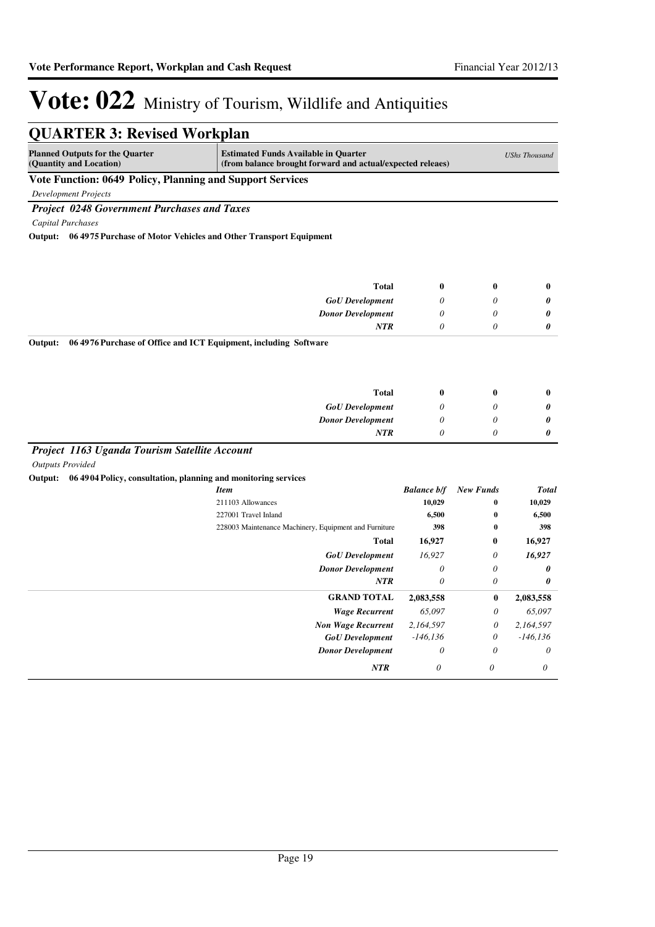| <b>QUARTER 3: Revised Workplan</b>                                          |                                                                                                           |                    |                           |                       |
|-----------------------------------------------------------------------------|-----------------------------------------------------------------------------------------------------------|--------------------|---------------------------|-----------------------|
| <b>Planned Outputs for the Quarter</b><br>(Quantity and Location)           | <b>Estimated Funds Available in Quarter</b><br>(from balance brought forward and actual/expected releaes) |                    |                           | <b>UShs Thousand</b>  |
| Vote Function: 0649 Policy, Planning and Support Services                   |                                                                                                           |                    |                           |                       |
| <b>Development Projects</b>                                                 |                                                                                                           |                    |                           |                       |
| <b>Project 0248 Government Purchases and Taxes</b>                          |                                                                                                           |                    |                           |                       |
| <b>Capital Purchases</b>                                                    |                                                                                                           |                    |                           |                       |
| 064975 Purchase of Motor Vehicles and Other Transport Equipment<br>Output:  |                                                                                                           |                    |                           |                       |
|                                                                             |                                                                                                           |                    |                           |                       |
|                                                                             |                                                                                                           |                    |                           |                       |
|                                                                             | <b>Total</b>                                                                                              | $\boldsymbol{0}$   | $\bf{0}$                  | $\bf{0}$              |
|                                                                             | <b>GoU</b> Development                                                                                    | $\theta$           | $\theta$                  | 0                     |
|                                                                             | <b>Donor Development</b>                                                                                  | $\theta$           | $\theta$                  | 0                     |
|                                                                             | <b>NTR</b>                                                                                                | $\theta$           | $\theta$                  | 0                     |
| Output:<br>06 4976 Purchase of Office and ICT Equipment, including Software |                                                                                                           |                    |                           |                       |
|                                                                             |                                                                                                           |                    |                           |                       |
|                                                                             |                                                                                                           |                    |                           |                       |
|                                                                             | <b>Total</b>                                                                                              | $\boldsymbol{0}$   | $\bf{0}$                  | $\bf{0}$              |
|                                                                             | <b>GoU</b> Development                                                                                    | $\theta$           | $\theta$                  | 0                     |
|                                                                             | <b>Donor Development</b>                                                                                  | 0                  | $\theta$                  | 0                     |
|                                                                             | <b>NTR</b>                                                                                                | $\theta$           | $\theta$                  | $\boldsymbol{\theta}$ |
| Project 1163 Uganda Tourism Satellite Account                               |                                                                                                           |                    |                           |                       |
| <b>Outputs Provided</b>                                                     |                                                                                                           |                    |                           |                       |
| Output:<br>06 4904 Policy, consultation, planning and monitoring services   |                                                                                                           |                    |                           |                       |
|                                                                             | <b>Item</b>                                                                                               | <b>Balance b/f</b> | <b>New Funds</b>          | <b>Total</b>          |
|                                                                             | 211103 Allowances                                                                                         | 10,029             | $\bf{0}$                  | 10,029                |
|                                                                             | 227001 Travel Inland                                                                                      | 6,500              | $\bf{0}$                  | 6,500                 |
|                                                                             | 228003 Maintenance Machinery, Equipment and Furniture                                                     | 398                | $\bf{0}$                  | 398                   |
|                                                                             | <b>Total</b>                                                                                              | 16,927             | $\bf{0}$                  | 16,927                |
|                                                                             | <b>GoU</b> Development                                                                                    | 16,927             | $\theta$                  | 16,927                |
|                                                                             | <b>Donor Development</b>                                                                                  | $\theta$           | $\theta$                  | 0                     |
|                                                                             | <b>NTR</b>                                                                                                | $\theta$           | $\theta$                  | $\boldsymbol{\theta}$ |
|                                                                             | <b>GRAND TOTAL</b>                                                                                        | 2,083,558          | $\bf{0}$                  | 2,083,558             |
|                                                                             | <b>Wage Recurrent</b>                                                                                     | 65,097             | $\theta$                  | 65,097                |
|                                                                             | <b>Non Wage Recurrent</b>                                                                                 | 2,164,597          | $\boldsymbol{\mathit{0}}$ | 2,164,597             |
|                                                                             | <b>GoU</b> Development                                                                                    | $-146, 136$        | $\theta$                  | $-146, 136$           |
|                                                                             | <b>Donor Development</b>                                                                                  | $\theta$           | $\theta$                  | $\theta$              |
|                                                                             | <b>NTR</b>                                                                                                | 0                  | 0                         | 0                     |
|                                                                             |                                                                                                           |                    |                           |                       |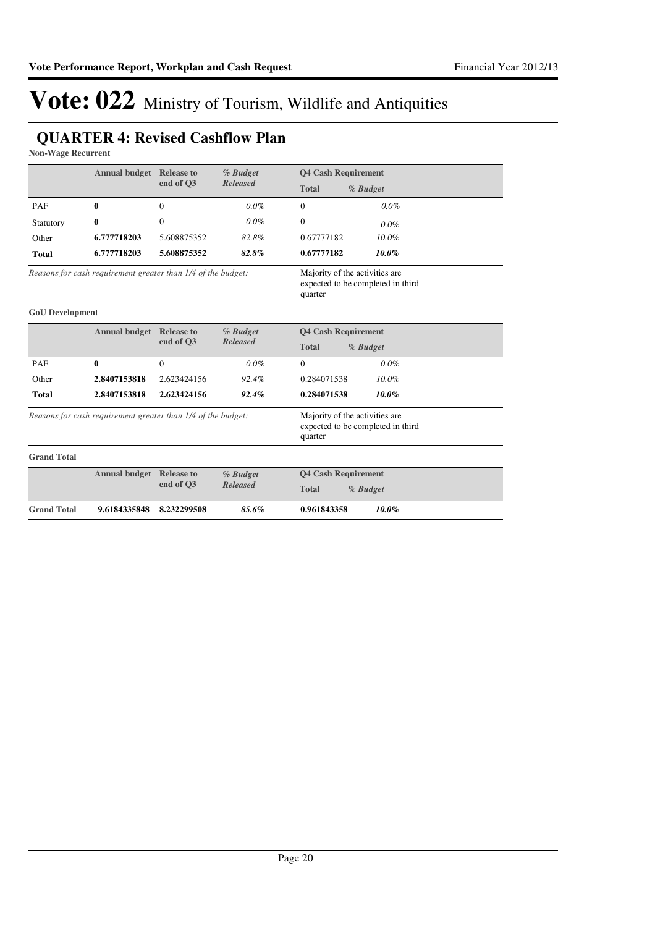#### **QUARTER 4: Revised Cashflow Plan**

**Non-Wage Recurrent**

|                        | <b>Annual budget Release to</b>                              |                   | % Budget        | <b>Q4 Cash Requirement</b>                                                     |  |
|------------------------|--------------------------------------------------------------|-------------------|-----------------|--------------------------------------------------------------------------------|--|
|                        |                                                              | end of O3         | <b>Released</b> | <b>Total</b><br>% Budget                                                       |  |
| PAF                    | 0                                                            | $\Omega$          | $0.0\%$         | $\Omega$<br>$0.0\%$                                                            |  |
| Statutory              | $\bf{0}$                                                     | $\overline{0}$    | $0.0\%$         | $\theta$<br>$0.0\%$                                                            |  |
| Other                  | 6.777718203                                                  | 5.608875352       | 82.8%           | $10.0\%$<br>0.67777182                                                         |  |
| <b>Total</b>           | 6.777718203                                                  | 5.608875352       | 82.8%           | 0.67777182<br>10.0%                                                            |  |
|                        | Reasons for cash requirement greater than 1/4 of the budget: |                   |                 | Majority of the activities are<br>expected to be completed in third<br>quarter |  |
| <b>GoU</b> Development |                                                              |                   |                 |                                                                                |  |
|                        | <b>Annual budget</b> Release to                              |                   | % Budget        | <b>Q4 Cash Requirement</b>                                                     |  |
|                        |                                                              | end of O3         | <b>Released</b> | <b>Total</b><br>% Budget                                                       |  |
| PAF                    | 0                                                            | $\Omega$          | $0.0\%$         | $\Omega$<br>$0.0\%$                                                            |  |
| Other                  | 2.8407153818                                                 | 2.623424156       | 92.4%           | 0.284071538<br>$10.0\%$                                                        |  |
| <b>Total</b>           | 2.8407153818                                                 | 2.623424156       | 92.4%           | 0.284071538<br>10.0%                                                           |  |
|                        | Reasons for cash requirement greater than 1/4 of the budget: |                   |                 | Majority of the activities are<br>expected to be completed in third<br>quarter |  |
| <b>Grand Total</b>     |                                                              |                   |                 |                                                                                |  |
|                        | <b>Annual budget</b>                                         | <b>Release to</b> | % Budget        | <b>Q4 Cash Requirement</b>                                                     |  |
|                        |                                                              | end of Q3         | <b>Released</b> | <b>Total</b><br>% Budget                                                       |  |
| <b>Grand Total</b>     | 9.6184335848                                                 | 8.232299508       | 85.6%           | 0.961843358<br>10.0%                                                           |  |